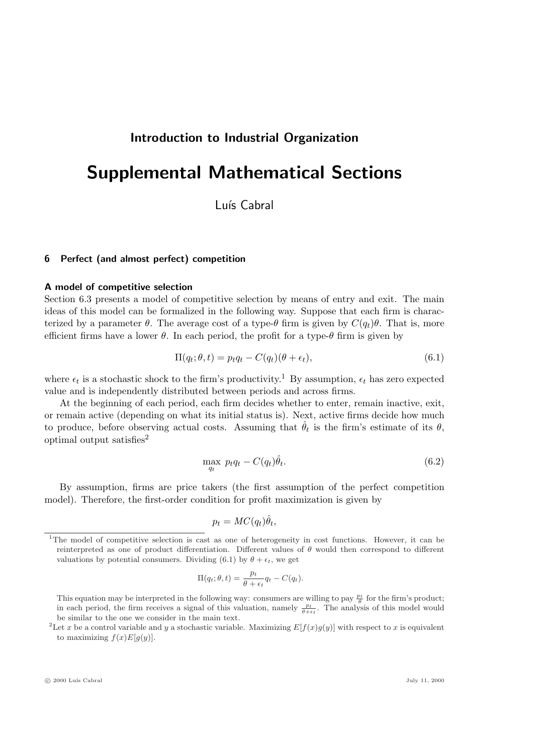## Introduction to Industrial Organization

# Supplemental Mathematical Sections

Luís Cabral

## 6 Perfect (and almost perfect) competition

#### A model of competitive selection

Section 6.3 presents a model of competitive selection by means of entry and exit. The main ideas of this model can be formalized in the following way. Suppose that each firm is characterized by a parameter  $\theta$ . The average cost of a type- $\theta$  firm is given by  $C(q_t)\theta$ . That is, more efficient firms have a lower  $\theta$ . In each period, the profit for a type- $\theta$  firm is given by

$$
\Pi(q_t; \theta, t) = p_t q_t - C(q_t)(\theta + \epsilon_t), \qquad (6.1)
$$

where  $\epsilon_t$  is a stochastic shock to the firm's productivity.<sup>1</sup> By assumption,  $\epsilon_t$  has zero expected value and is independently distributed between periods and across firms.

At the beginning of each period, each firm decides whether to enter, remain inactive, exit, or remain active (depending on what its initial status is). Next, active firms decide how much to produce, before observing actual costs. Assuming that  $\hat{\theta}_t$  is the firm's estimate of its  $\theta$ , optimal output satisfies<sup>2</sup>

$$
\max_{q_t} \ p_t q_t - C(q_t)\hat{\theta}_t. \tag{6.2}
$$

By assumption, firms are price takers (the first assumption of the perfect competition model). Therefore, the first-order condition for profit maximization is given by

$$
p_t = MC(q_t)\hat{\theta}_t,
$$

$$
\Pi(q_t; \theta, t) = \frac{p_t}{\theta + \epsilon_t} q_t - C(q_t).
$$

<sup>&</sup>lt;sup>1</sup>The model of competitive selection is cast as one of heterogeneity in cost functions. However, it can be reinterpreted as one of product differentiation. Different values of  $\theta$  would then correspond to different valuations by potential consumers. Dividing (6.1) by  $\theta + \epsilon_t$ , we get

This equation may be interpreted in the following way: consumers are willing to pay  $\frac{p_t}{\theta}$  for the firm's product; in each period, the firm receives a signal of this valuation, namely  $\frac{p_t}{\theta + \epsilon_t}$ . The analysis of this model would be similar to the one we consider in the main text.

<sup>&</sup>lt;sup>2</sup>Let x be a control variable and y a stochastic variable. Maximizing  $E[f(x)g(y)]$  with respect to x is equivalent to maximizing  $f(x)E[g(y)].$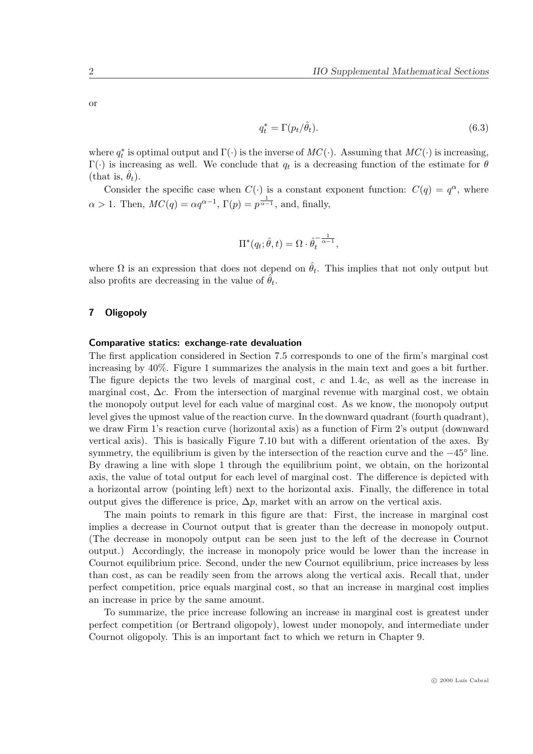or

$$
q_t^* = \Gamma(p_t/\hat{\theta}_t). \tag{6.3}
$$

where  $q_t^*$  is optimal output and  $\Gamma(\cdot)$  is the inverse of  $MC(\cdot)$ . Assuming that  $MC(\cdot)$  is increasing,  $\Gamma(\cdot)$  is increasing as well. We conclude that  $q_t$  is a decreasing function of the estimate for  $\theta$ (that is,  $\theta_t$ ).

Consider the specific case when  $C(\cdot)$  is a constant exponent function:  $C(q) = q^{\alpha}$ , where  $\alpha > 1$ . Then,  $MC(q) = \alpha q^{\alpha-1}$ ,  $\Gamma(p) = p^{\frac{1}{\alpha-1}}$ , and, finally,

$$
\Pi^*(q_t; \hat{\theta}, t) = \Omega \cdot \hat{\theta}_t^{-\frac{1}{\alpha - 1}},
$$

where  $\Omega$  is an expression that does not depend on  $\hat{\theta}_t$ . This implies that not only output but also profits are decreasing in the value of  $\hat{\theta}_t$ .

## 7 Oligopoly

#### Comparative statics: exchange-rate devaluation

The first application considered in Section 7.5 corresponds to one of the firm's marginal cost increasing by 40%. Figure 1 summarizes the analysis in the main text and goes a bit further. The figure depicts the two levels of marginal cost,  $c$  and 1.4 $c$ , as well as the increase in marginal cost,  $\Delta c$ . From the intersection of marginal revenue with marginal cost, we obtain the monopoly output level for each value of marginal cost. As we know, the monopoly output level gives the upmost value of the reaction curve. In the downward quadrant (fourth quadrant), we draw Firm 1's reaction curve (horizontal axis) as a function of Firm 2's output (downward vertical axis). This is basically Figure 7.10 but with a different orientation of the axes. By symmetry, the equilibrium is given by the intersection of the reaction curve and the  $-45^{\circ}$  line. By drawing a line with slope 1 through the equilibrium point, we obtain, on the horizontal axis, the value of total output for each level of marginal cost. The difference is depicted with a horizontal arrow (pointing left) next to the horizontal axis. Finally, the difference in total output gives the difference is price,  $\Delta p$ , market with an arrow on the vertical axis.

The main points to remark in this figure are that: First, the increase in marginal cost implies a decrease in Cournot output that is greater than the decrease in monopoly output. (The decrease in monopoly output can be seen just to the left of the decrease in Cournot output.) Accordingly, the increase in monopoly price would be lower than the increase in Cournot equilibrium price. Second, under the new Cournot equilibrium, price increases by less than cost, as can be readily seen from the arrows along the vertical axis. Recall that, under perfect competition, price equals marginal cost, so that an increase in marginal cost implies an increase in price by the same amount.

To summarize, the price increase following an increase in marginal cost is greatest under perfect competition (or Bertrand oligopoly), lowest under monopoly, and intermediate under Cournot oligopoly. This is an important fact to which we return in Chapter 9.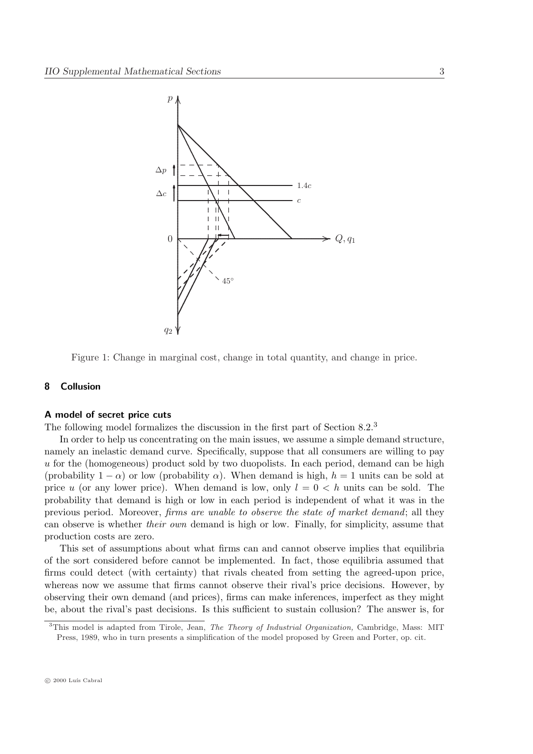

Figure 1: Change in marginal cost, change in total quantity, and change in price.

## 8 Collusion

#### A model of secret price cuts

The following model formalizes the discussion in the first part of Section 8.2.<sup>3</sup>

In order to help us concentrating on the main issues, we assume a simple demand structure, namely an inelastic demand curve. Specifically, suppose that all consumers are willing to pay u for the (homogeneous) product sold by two duopolists. In each period, demand can be high (probability  $1 - \alpha$ ) or low (probability  $\alpha$ ). When demand is high,  $h = 1$  units can be sold at price u (or any lower price). When demand is low, only  $l = 0 \leq h$  units can be sold. The probability that demand is high or low in each period is independent of what it was in the previous period. Moreover, firms are unable to observe the state of market demand; all they can observe is whether their own demand is high or low. Finally, for simplicity, assume that production costs are zero.

This set of assumptions about what firms can and cannot observe implies that equilibria of the sort considered before cannot be implemented. In fact, those equilibria assumed that firms could detect (with certainty) that rivals cheated from setting the agreed-upon price, whereas now we assume that firms cannot observe their rival's price decisions. However, by observing their own demand (and prices), firms can make inferences, imperfect as they might be, about the rival's past decisions. Is this sufficient to sustain collusion? The answer is, for

<sup>&</sup>lt;sup>3</sup>This model is adapted from Tirole, Jean, The Theory of Industrial Organization, Cambridge, Mass: MIT Press, 1989, who in turn presents a simplification of the model proposed by Green and Porter, op. cit.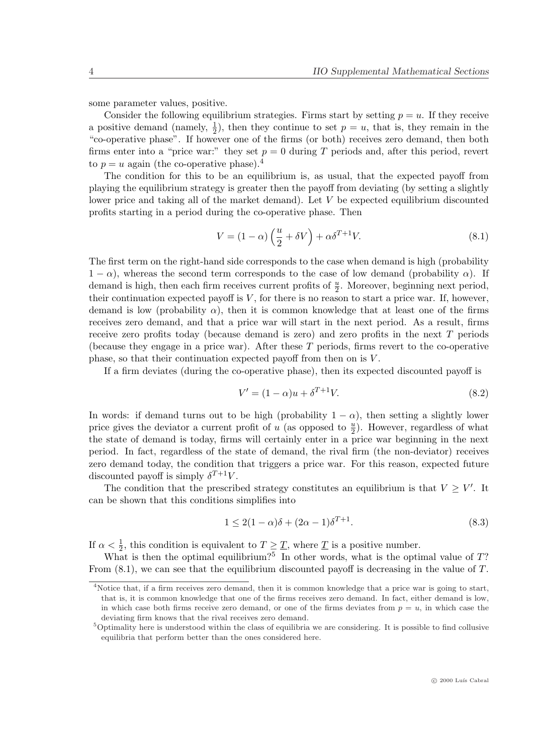some parameter values, positive.

Consider the following equilibrium strategies. Firms start by setting  $p = u$ . If they receive a positive demand (namely,  $\frac{1}{2}$ ), then they continue to set  $p = u$ , that is, they remain in the "co-operative phase". If however one of the firms (or both) receives zero demand, then both firms enter into a "price war:" they set  $p = 0$  during T periods and, after this period, revert to  $p = u$  again (the co-operative phase).<sup>4</sup>

The condition for this to be an equilibrium is, as usual, that the expected payoff from playing the equilibrium strategy is greater then the payoff from deviating (by setting a slightly lower price and taking all of the market demand). Let V be expected equilibrium discounted profits starting in a period during the co-operative phase. Then

$$
V = (1 - \alpha) \left(\frac{u}{2} + \delta V\right) + \alpha \delta^{T+1} V. \tag{8.1}
$$

The first term on the right-hand side corresponds to the case when demand is high (probability  $1 - \alpha$ ), whereas the second term corresponds to the case of low demand (probability  $\alpha$ ). If demand is high, then each firm receives current profits of  $\frac{u}{2}$ . Moreover, beginning next period, their continuation expected payoff is  $V$ , for there is no reason to start a price war. If, however, demand is low (probability  $\alpha$ ), then it is common knowledge that at least one of the firms receives zero demand, and that a price war will start in the next period. As a result, firms receive zero profits today (because demand is zero) and zero profits in the next T periods (because they engage in a price war). After these T periods, firms revert to the co-operative phase, so that their continuation expected payoff from then on is  $V$ .

If a firm deviates (during the co-operative phase), then its expected discounted payoff is

$$
V' = (1 - \alpha)u + \delta^{T+1}V.
$$
\n
$$
(8.2)
$$

In words: if demand turns out to be high (probability  $1 - \alpha$ ), then setting a slightly lower price gives the deviator a current profit of u (as opposed to  $\frac{u}{2}$ ). However, regardless of what the state of demand is today, firms will certainly enter in a price war beginning in the next period. In fact, regardless of the state of demand, the rival firm (the non-deviator) receives zero demand today, the condition that triggers a price war. For this reason, expected future discounted payoff is simply  $\delta^{T+1}V$ .

The condition that the prescribed strategy constitutes an equilibrium is that  $V \geq V'$ . It can be shown that this conditions simplifies into

$$
1 \le 2(1 - \alpha)\delta + (2\alpha - 1)\delta^{T+1}.
$$
\n(8.3)

If  $\alpha < \frac{1}{2}$ , this condition is equivalent to  $T \geq \underline{T}$ , where  $\underline{T}$  is a positive number.

What is then the optimal equilibrium?<sup>5</sup> In other words, what is the optimal value of  $T$ ? From  $(8.1)$ , we can see that the equilibrium discounted payoff is decreasing in the value of T.

<sup>4</sup>Notice that, if a firm receives zero demand, then it is common knowledge that a price war is going to start, that is, it is common knowledge that one of the firms receives zero demand. In fact, either demand is low, in which case both firms receive zero demand, or one of the firms deviates from  $p = u$ , in which case the deviating firm knows that the rival receives zero demand.

<sup>5</sup>Optimality here is understood within the class of equilibria we are considering. It is possible to find collusive equilibria that perform better than the ones considered here.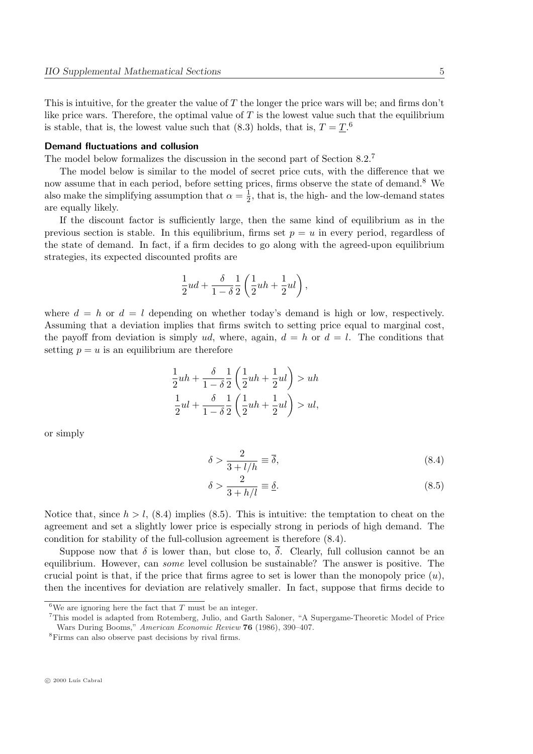This is intuitive, for the greater the value of  $T$  the longer the price wars will be; and firms don't like price wars. Therefore, the optimal value of  $T$  is the lowest value such that the equilibrium is stable, that is, the lowest value such that (8.3) holds, that is,  $T = \underline{T}$ .<sup>6</sup>

## Demand fluctuations and collusion

The model below formalizes the discussion in the second part of Section 8.2.<sup>7</sup>

The model below is similar to the model of secret price cuts, with the difference that we now assume that in each period, before setting prices, firms observe the state of demand.<sup>8</sup> We also make the simplifying assumption that  $\alpha = \frac{1}{2}$  $\frac{1}{2}$ , that is, the high- and the low-demand states are equally likely.

If the discount factor is sufficiently large, then the same kind of equilibrium as in the previous section is stable. In this equilibrium, firms set  $p = u$  in every period, regardless of the state of demand. In fact, if a firm decides to go along with the agreed-upon equilibrium strategies, its expected discounted profits are

$$
\frac{1}{2}ud+\frac{\delta}{1-\delta}\frac{1}{2}\left(\frac{1}{2}uh+\frac{1}{2}ul\right),
$$

where  $d = h$  or  $d = l$  depending on whether today's demand is high or low, respectively. Assuming that a deviation implies that firms switch to setting price equal to marginal cost, the payoff from deviation is simply ud, where, again,  $d = h$  or  $d = l$ . The conditions that setting  $p = u$  is an equilibrium are therefore

$$
\frac{1}{2}uh + \frac{\delta}{1-\delta} \frac{1}{2} \left( \frac{1}{2}uh + \frac{1}{2}ul \right) > uh
$$
  

$$
\frac{1}{2}ul + \frac{\delta}{1-\delta} \frac{1}{2} \left( \frac{1}{2}uh + \frac{1}{2}ul \right) > ul,
$$

or simply

$$
\delta > \frac{2}{3 + l/h} \equiv \overline{\delta},\tag{8.4}
$$

$$
\delta > \frac{2}{3 + h/l} \equiv \underline{\delta}.\tag{8.5}
$$

Notice that, since  $h > l$ , (8.4) implies (8.5). This is intuitive: the temptation to cheat on the agreement and set a slightly lower price is especially strong in periods of high demand. The condition for stability of the full-collusion agreement is therefore (8.4).

Suppose now that  $\delta$  is lower than, but close to,  $\overline{\delta}$ . Clearly, full collusion cannot be an equilibrium. However, can some level collusion be sustainable? The answer is positive. The crucial point is that, if the price that firms agree to set is lower than the monopoly price  $(u)$ , then the incentives for deviation are relatively smaller. In fact, suppose that firms decide to

<sup>&</sup>lt;sup>6</sup>We are ignoring here the fact that T must be an integer.

<sup>7</sup>This model is adapted from Rotemberg, Julio, and Garth Saloner, "A Supergame-Theoretic Model of Price Wars During Booms," American Economic Review 76 (1986), 390–407.

<sup>8</sup>Firms can also observe past decisions by rival firms.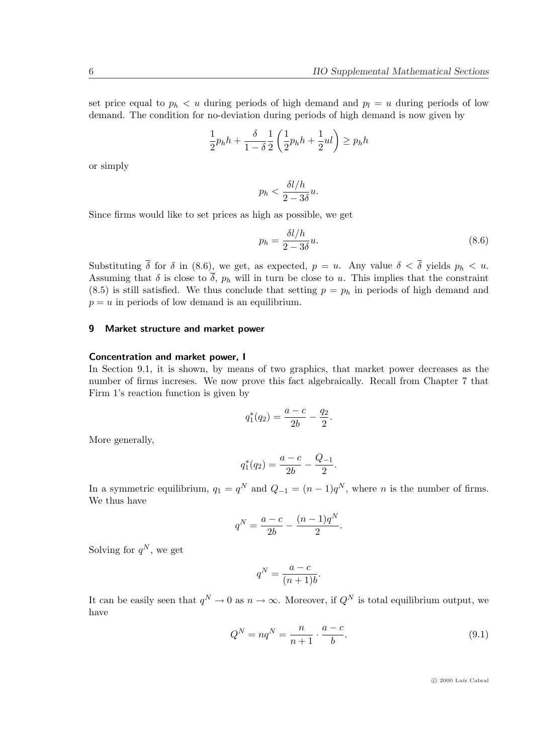set price equal to  $p_h < u$  during periods of high demand and  $p_l = u$  during periods of low demand. The condition for no-deviation during periods of high demand is now given by

$$
\frac{1}{2}p_h h + \frac{\delta}{1-\delta} \frac{1}{2}\left(\frac{1}{2}p_h h + \frac{1}{2}ul\right) \geq p_h h
$$

or simply

$$
p_h < \frac{\delta l/h}{2 - 3\delta} u.
$$

Since firms would like to set prices as high as possible, we get

$$
p_h = \frac{\delta l / h}{2 - 3\delta} u.
$$
\n(8.6)

Substituting  $\bar{\delta}$  for  $\delta$  in (8.6), we get, as expected,  $p = u$ . Any value  $\delta < \bar{\delta}$  yields  $p_h < u$ . Assuming that  $\delta$  is close to  $\overline{\delta}$ ,  $p_h$  will in turn be close to u. This implies that the constraint  $(8.5)$  is still satisfied. We thus conclude that setting  $p = p_h$  in periods of high demand and  $p = u$  in periods of low demand is an equilibrium.

## 9 Market structure and market power

#### Concentration and market power, I

In Section 9.1, it is shown, by means of two graphics, that market power decreases as the number of firms increses. We now prove this fact algebraically. Recall from Chapter 7 that Firm 1's reaction function is given by

$$
q_1^*(q_2) = \frac{a-c}{2b} - \frac{q_2}{2}.
$$

More generally,

$$
q_1^*(q_2) = \frac{a-c}{2b} - \frac{Q_{-1}}{2}.
$$

In a symmetric equilibrium,  $q_1 = q^N$  and  $Q_{-1} = (n-1)q^N$ , where *n* is the number of firms. We thus have

$$
q^{N} = \frac{a-c}{2b} - \frac{(n-1)q^{N}}{2}.
$$

Solving for  $q^N$ , we get

$$
q^N = \frac{a-c}{(n+1)b}.
$$

It can be easily seen that  $q^N \to 0$  as  $n \to \infty$ . Moreover, if  $Q^N$  is total equilibrium output, we have

$$
Q^N = nq^N = \frac{n}{n+1} \cdot \frac{a-c}{b}.\tag{9.1}
$$

 $\circ$  2000 Luís Cabral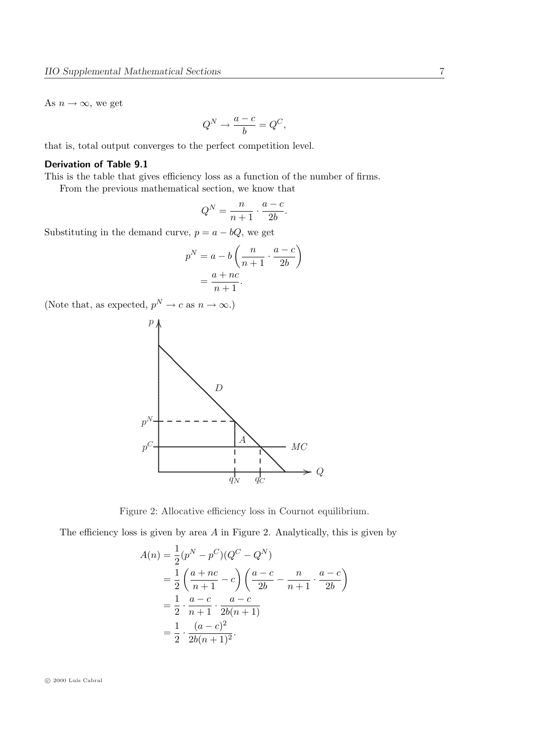As  $n \to \infty$ , we get

$$
Q^N \rightarrow \frac{a-c}{b}=Q^C,
$$

that is, total output converges to the perfect competition level.

## Derivation of Table 9.1

This is the table that gives efficiency loss as a function of the number of firms.

From the previous mathematical section, we know that

$$
Q^N = \frac{n}{n+1} \cdot \frac{a-c}{2b}.
$$

Substituting in the demand curve,  $p = a - bQ$ , we get

$$
p^{N} = a - b \left( \frac{n}{n+1} \cdot \frac{a-c}{2b} \right)
$$

$$
= \frac{a+nc}{n+1}.
$$

(Note that, as expected,  $p^N \to c$  as  $n \to \infty$ .)





The efficiency loss is given by area  $A$  in Figure 2. Analytically, this is given by

$$
A(n) = \frac{1}{2}(p^{N} - p^{C})(Q^{C} - Q^{N})
$$
  
=  $\frac{1}{2} \left( \frac{a + nc}{n + 1} - c \right) \left( \frac{a - c}{2b} - \frac{n}{n + 1} \cdot \frac{a - c}{2b} \right)$   
=  $\frac{1}{2} \cdot \frac{a - c}{n + 1} \cdot \frac{a - c}{2b(n + 1)}$   
=  $\frac{1}{2} \cdot \frac{(a - c)^{2}}{2b(n + 1)^{2}}$ .

 $\odot$  2000 Luís Cabral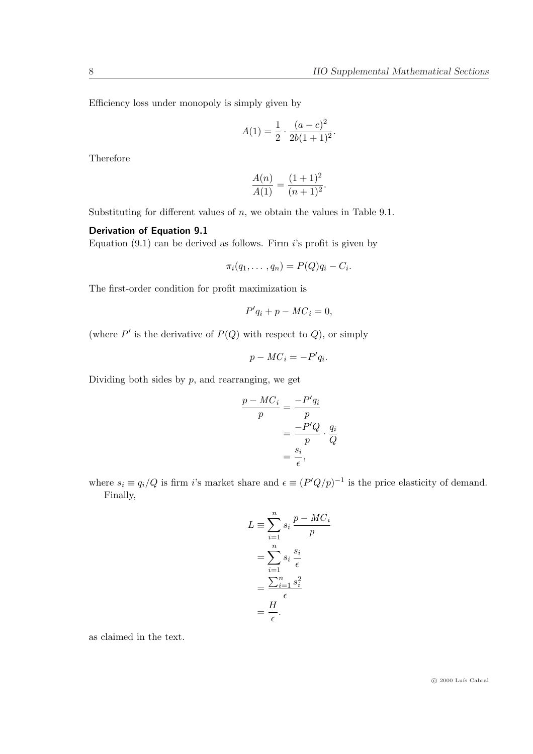Efficiency loss under monopoly is simply given by

$$
A(1) = \frac{1}{2} \cdot \frac{(a-c)^2}{2b(1+1)^2}.
$$

Therefore

$$
\frac{A(n)}{A(1)} = \frac{(1+1)^2}{(n+1)^2}.
$$

Substituting for different values of  $n$ , we obtain the values in Table 9.1.

## Derivation of Equation 9.1

Equation  $(9.1)$  can be derived as follows. Firm i's profit is given by

$$
\pi_i(q_1,\ldots,q_n)=P(Q)q_i-C_i.
$$

The first-order condition for profit maximization is

$$
P'q_i + p - MC_i = 0,
$$

(where  $P'$  is the derivative of  $P(Q)$  with respect to  $Q$ ), or simply

$$
p - MC_i = -P'q_i.
$$

Dividing both sides by  $p$ , and rearranging, we get

$$
\frac{p - MC_i}{p} = \frac{-P'q_i}{p}
$$

$$
= \frac{-P'Q}{p} \cdot \frac{q_i}{Q}
$$

$$
= \frac{s_i}{\epsilon},
$$

where  $s_i \equiv q_i/Q$  is firm i's market share and  $\epsilon \equiv (P'Q/p)^{-1}$  is the price elasticity of demand. Finally,

$$
L \equiv \sum_{i=1}^{n} s_i \frac{p - MC_i}{p}
$$

$$
= \sum_{i=1}^{n} s_i \frac{s_i}{\epsilon}
$$

$$
= \frac{\sum_{i=1}^{n} s_i^2}{\epsilon}
$$

$$
= \frac{H}{\epsilon}.
$$

as claimed in the text.

 $\odot$  2000 Luís Cabral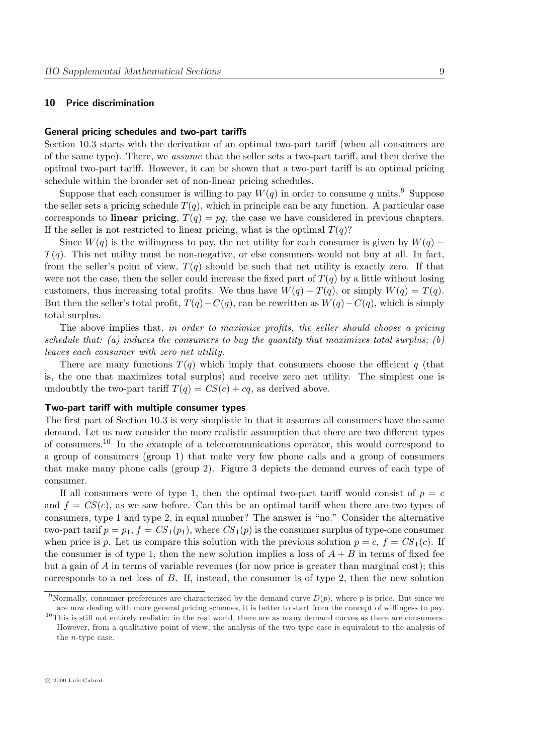## 10 Price discrimination

#### General pricing schedules and two-part tariffs

Section 10.3 starts with the derivation of an optimal two-part tariff (when all consumers are of the same type). There, we assume that the seller sets a two-part tariff, and then derive the optimal two-part tariff. However, it can be shown that a two-part tariff is an optimal pricing schedule within the broader set of non-linear pricing schedules.

Suppose that each consumer is willing to pay  $W(q)$  in order to consume q units.<sup>9</sup> Suppose the seller sets a pricing schedule  $T(q)$ , which in principle can be any function. A particular case corresponds to **linear pricing**,  $T(q) = pq$ , the case we have considered in previous chapters. If the seller is not restricted to linear pricing, what is the optimal  $T(q)$ ?

Since  $W(q)$  is the willingness to pay, the net utility for each consumer is given by  $W(q)$  –  $T(q)$ . This net utility must be non-negative, or else consumers would not buy at all. In fact, from the seller's point of view,  $T(q)$  should be such that net utility is exactly zero. If that were not the case, then the seller could increase the fixed part of  $T(q)$  by a little without losing customers, thus increasing total profits. We thus have  $W(q) - T(q)$ , or simply  $W(q) = T(q)$ . But then the seller's total profit,  $T(q)-C(q)$ , can be rewritten as  $W(q)-C(q)$ , which is simply total surplus.

The above implies that, in order to maximize profits, the seller should choose a pricing schedule that: (a) induces the consumers to buy the quantity that maximizes total surplus; (b) leaves each consumer with zero net utility.

There are many functions  $T(q)$  which imply that consumers choose the efficient q (that is, the one that maximizes total surplus) and receive zero net utility. The simplest one is undoubtly the two-part tariff  $T(q) = CS(c) + cq$ , as derived above.

## Two-part tariff with multiple consumer types

The first part of Section 10.3 is very simplistic in that it assumes all consumers have the same demand. Let us now consider the more realistic assumption that there are two different types of consumers.<sup>10</sup> In the example of a telecommunications operator, this would correspond to a group of consumers (group 1) that make very few phone calls and a group of consumers that make many phone calls (group 2). Figure 3 depicts the demand curves of each type of consumer.

If all consumers were of type 1, then the optimal two-part tariff would consist of  $p = c$ and  $f = CS(c)$ , as we saw before. Can this be an optimal tariff when there are two types of consumers, type 1 and type 2, in equal number? The answer is "no." Consider the alternative two-part tarif  $p = p_1, f = CS_1(p_1)$ , where  $CS_1(p)$  is the consumer surplus of type-one consumer when price is p. Let us compare this solution with the previous solution  $p = c$ ,  $f = CS<sub>1</sub>(c)$ . If the consumer is of type 1, then the new solution implies a loss of  $A + B$  in terms of fixed fee but a gain of A in terms of variable revenues (for now price is greater than marginal cost); this corresponds to a net loss of  $B$ . If, instead, the consumer is of type 2, then the new solution

<sup>&</sup>lt;sup>9</sup>Normally, consumer preferences are characterized by the demand curve  $D(p)$ , where p is price. But since we are now dealing with more general pricing schemes, it is better to start from the concept of willingess to pay.

 $10$ This is still not entirely realistic: in the real world, there are as many demand curves as there are consumers. However, from a qualitative point of view, the analysis of the two-type case is equivalent to the analysis of the n-type case.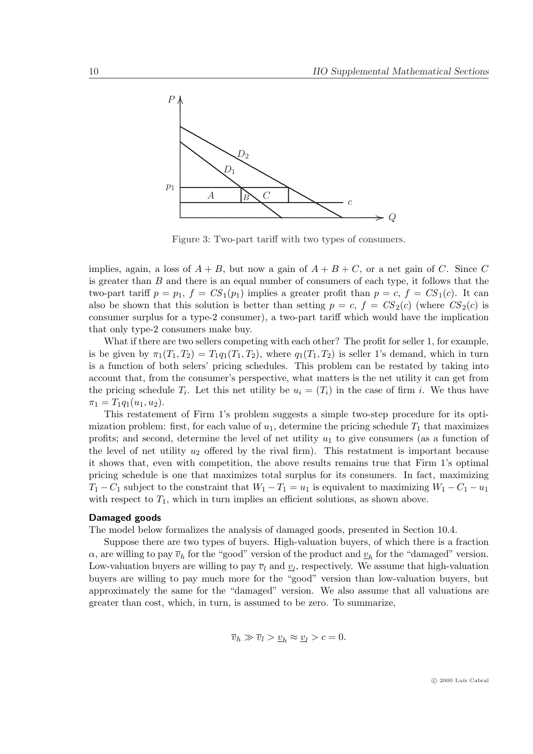

Figure 3: Two-part tariff with two types of consumers.

implies, again, a loss of  $A + B$ , but now a gain of  $A + B + C$ , or a net gain of C. Since C is greater than  $B$  and there is an equal number of consumers of each type, it follows that the two-part tariff  $p = p_1$ ,  $f = CS_1(p_1)$  implies a greater profit than  $p = c$ ,  $f = CS_1(c)$ . It can also be shown that this solution is better than setting  $p = c$ ,  $f = CS_2(c)$  (where  $CS_2(c)$  is consumer surplus for a type-2 consumer), a two-part tariff which would have the implication that only type-2 consumers make buy.

What if there are two sellers competing with each other? The profit for seller 1, for example, is be given by  $\pi_1(T_1, T_2) = T_1q_1(T_1, T_2)$ , where  $q_1(T_1, T_2)$  is seller 1's demand, which in turn is a function of both selers' pricing schedules. This problem can be restated by taking into account that, from the consumer's perspective, what matters is the net utility it can get from the pricing schedule  $T_i$ . Let this net utility be  $u_i = (T_i)$  in the case of firm i. We thus have  $\pi_1 = T_1 q_1(u_1, u_2).$ 

This restatement of Firm 1's problem suggests a simple two-step procedure for its optimization problem: first, for each value of  $u_1$ , determine the pricing schedule  $T_1$  that maximizes profits; and second, determine the level of net utility  $u_1$  to give consumers (as a function of the level of net utility  $u_2$  offered by the rival firm). This restatment is important because it shows that, even with competition, the above results remains true that Firm 1's optimal pricing schedule is one that maximizes total surplus for its consumers. In fact, maximizing  $T_1 - C_1$  subject to the constraint that  $W_1 - T_1 = u_1$  is equivalent to maximizing  $W_1 - C_1 - u_1$ with respect to  $T_1$ , which in turn implies an efficient solutions, as shown above.

#### Damaged goods

The model below formalizes the analysis of damaged goods, presented in Section 10.4.

Suppose there are two types of buyers. High-valuation buyers, of which there is a fraction  $\alpha$ , are willing to pay  $\overline{v}_h$  for the "good" version of the product and  $\underline{v}_h$  for the "damaged" version. Low-valuation buyers are willing to pay  $\overline{v}_l$  and  $\underline{v}_l$ , respectively. We assume that high-valuation buyers are willing to pay much more for the "good" version than low-valuation buyers, but approximately the same for the "damaged" version. We also assume that all valuations are greater than cost, which, in turn, is assumed to be zero. To summarize,

$$
\overline{v}_h \gg \overline{v}_l > \underline{v}_h \approx \underline{v}_l > c = 0.
$$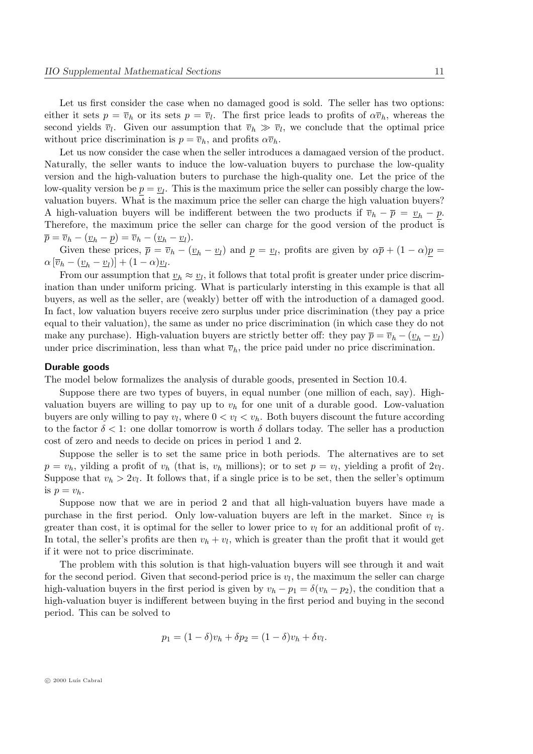Let us first consider the case when no damaged good is sold. The seller has two options:

either it sets  $p = \overline{v}_h$  or its sets  $p = \overline{v}_l$ . The first price leads to profits of  $\alpha \overline{v}_h$ , whereas the second yields  $\overline{v}_l$ . Given our assumption that  $\overline{v}_h \gg \overline{v}_l$ , we conclude that the optimal price without price discrimination is  $p = \overline{v}_h$ , and profits  $\alpha \overline{v}_h$ .

Let us now consider the case when the seller introduces a damagaed version of the product. Naturally, the seller wants to induce the low-valuation buyers to purchase the low-quality version and the high-valuation buters to purchase the high-quality one. Let the price of the low-quality version be  $\underline{p} = \underline{v}_l$ . This is the maximum price the seller can possibly charge the lowvaluation buyers. What is the maximum price the seller can charge the high valuation buyers? A high-valuation buyers will be indifferent between the two products if  $\overline{v}_h - \overline{p} = v_h - p$ . Therefore, the maximum price the seller can charge for the good version of the product is  $\overline{p} = \overline{v}_h - (\underline{v}_h - \underline{p}) = \overline{v}_h - (\underline{v}_h - \underline{v}_l).$ 

Given these prices,  $\bar{p} = \bar{v}_h - (\underline{v}_h - \underline{v}_l)$  and  $\underline{p} = \underline{v}_l$ , profits are given by  $\alpha \bar{p} + (1 - \alpha)\underline{p} =$  $\alpha \left[\overline{v}_h - \left(\underline{v}_h - \underline{v}_l\right)\right] + \left(1 - \alpha\right)\underline{v}_l.$ 

From our assumption that  $v_h \approx v_l$ , it follows that total profit is greater under price discrimination than under uniform pricing. What is particularly intersting in this example is that all buyers, as well as the seller, are (weakly) better off with the introduction of a damaged good. In fact, low valuation buyers receive zero surplus under price discrimination (they pay a price equal to their valuation), the same as under no price discrimination (in which case they do not make any purchase). High-valuation buyers are strictly better off: they pay  $\bar{p} = \bar{v}_h - (\underline{v}_h - \underline{v}_l)$ under price discrimination, less than what  $\overline{v}_h$ , the price paid under no price discrimination.

## Durable goods

The model below formalizes the analysis of durable goods, presented in Section 10.4.

Suppose there are two types of buyers, in equal number (one million of each, say). Highvaluation buyers are willing to pay up to  $v<sub>h</sub>$  for one unit of a durable good. Low-valuation buyers are only willing to pay  $v_l$ , where  $0 < v_l < v_h$ . Both buyers discount the future according to the factor  $\delta < 1$ : one dollar tomorrow is worth  $\delta$  dollars today. The seller has a production cost of zero and needs to decide on prices in period 1 and 2.

Suppose the seller is to set the same price in both periods. The alternatives are to set  $p = v_h$ , yilding a profit of  $v_h$  (that is,  $v_h$  millions); or to set  $p = v_l$ , yielding a profit of  $2v_l$ . Suppose that  $v_h > 2v_l$ . It follows that, if a single price is to be set, then the seller's optimum is  $p = v_h$ .

Suppose now that we are in period 2 and that all high-valuation buyers have made a purchase in the first period. Only low-valuation buyers are left in the market. Since  $v_l$  is greater than cost, it is optimal for the seller to lower price to  $v_l$  for an additional profit of  $v_l$ . In total, the seller's profits are then  $v_h + v_l$ , which is greater than the profit that it would get if it were not to price discriminate.

The problem with this solution is that high-valuation buyers will see through it and wait for the second period. Given that second-period price is  $v_l$ , the maximum the seller can charge high-valuation buyers in the first period is given by  $v_h - p_1 = \delta(v_h - p_2)$ , the condition that a high-valuation buyer is indifferent between buying in the first period and buying in the second period. This can be solved to

$$
p_1 = (1 - \delta)v_h + \delta p_2 = (1 - \delta)v_h + \delta v_l.
$$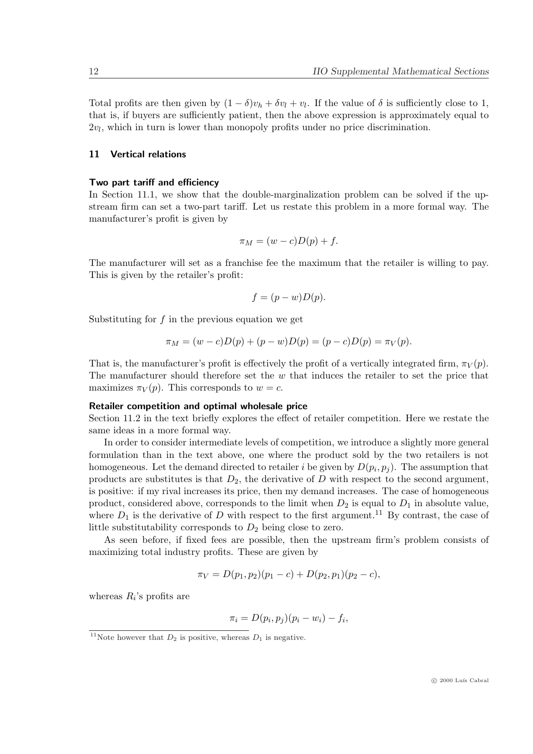Total profits are then given by  $(1 - \delta)v_h + \delta v_l + v_l$ . If the value of  $\delta$  is sufficiently close to 1, that is, if buyers are sufficiently patient, then the above expression is approximately equal to  $2v_l$ , which in turn is lower than monopoly profits under no price discrimination.

## 11 Vertical relations

## Two part tariff and efficiency

In Section 11.1, we show that the double-marginalization problem can be solved if the upstream firm can set a two-part tariff. Let us restate this problem in a more formal way. The manufacturer's profit is given by

$$
\pi_M = (w - c)D(p) + f.
$$

The manufacturer will set as a franchise fee the maximum that the retailer is willing to pay. This is given by the retailer's profit:

$$
f = (p - w)D(p).
$$

Substituting for  $f$  in the previous equation we get

$$
\pi_M = (w - c)D(p) + (p - w)D(p) = (p - c)D(p) = \pi_V(p).
$$

That is, the manufacturer's profit is effectively the profit of a vertically integrated firm,  $\pi_V(p)$ . The manufacturer should therefore set the w that induces the retailer to set the price that maximizes  $\pi_V(p)$ . This corresponds to  $w = c$ .

#### Retailer competition and optimal wholesale price

Section 11.2 in the text briefly explores the effect of retailer competition. Here we restate the same ideas in a more formal way.

In order to consider intermediate levels of competition, we introduce a slightly more general formulation than in the text above, one where the product sold by the two retailers is not homogeneous. Let the demand directed to retailer *i* be given by  $D(p_i, p_j)$ . The assumption that products are substitutes is that  $D_2$ , the derivative of D with respect to the second argument, is positive: if my rival increases its price, then my demand increases. The case of homogeneous product, considered above, corresponds to the limit when  $D_2$  is equal to  $D_1$  in absolute value, where  $D_1$  is the derivative of D with respect to the first argument.<sup>11</sup> By contrast, the case of little substitutability corresponds to  $D_2$  being close to zero.

As seen before, if fixed fees are possible, then the upstream firm's problem consists of maximizing total industry profits. These are given by

$$
\pi_V = D(p_1, p_2)(p_1 - c) + D(p_2, p_1)(p_2 - c),
$$

whereas  $R_i$ 's profits are

$$
\pi_i = D(p_i, p_j)(p_i - w_i) - f_i,
$$

<sup>&</sup>lt;sup>11</sup>Note however that  $D_2$  is positive, whereas  $D_1$  is negative.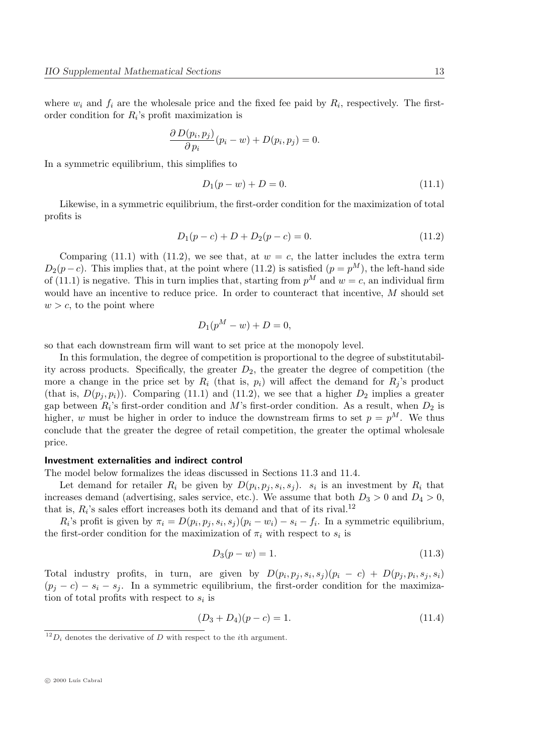where  $w_i$  and  $f_i$  are the wholesale price and the fixed fee paid by  $R_i$ , respectively. The firstorder condition for  $R_i$ 's profit maximization is

$$
\frac{\partial D(p_i, p_j)}{\partial p_i}(p_i - w) + D(p_i, p_j) = 0.
$$

In a symmetric equilibrium, this simplifies to

$$
D_1(p - w) + D = 0.\t(11.1)
$$

Likewise, in a symmetric equilibrium, the first-order condition for the maximization of total profits is

$$
D_1(p-c) + D + D_2(p-c) = 0.
$$
\n(11.2)

Comparing (11.1) with (11.2), we see that, at  $w = c$ , the latter includes the extra term  $D_2(p-c)$ . This implies that, at the point where (11.2) is satisfied  $(p = p^M)$ , the left-hand side of (11.1) is negative. This in turn implies that, starting from  $p^M$  and  $w = c$ , an individual firm would have an incentive to reduce price. In order to counteract that incentive, M should set  $w > c$ , to the point where

$$
D_1(p^M - w) + D = 0,
$$

so that each downstream firm will want to set price at the monopoly level.

In this formulation, the degree of competition is proportional to the degree of substitutability across products. Specifically, the greater  $D_2$ , the greater the degree of competition (the more a change in the price set by  $R_i$  (that is,  $p_i$ ) will affect the demand for  $R_j$ 's product (that is,  $D(p_i, p_i)$ ). Comparing (11.1) and (11.2), we see that a higher  $D_2$  implies a greater gap between  $R_i$ 's first-order condition and M's first-order condition. As a result, when  $D_2$  is higher, w must be higher in order to induce the downstream firms to set  $p = p^M$ . We thus conclude that the greater the degree of retail competition, the greater the optimal wholesale price.

#### Investment externalities and indirect control

The model below formalizes the ideas discussed in Sections 11.3 and 11.4.

Let demand for retailer  $R_i$  be given by  $D(p_i, p_j, s_i, s_j)$ .  $s_i$  is an investment by  $R_i$  that increases demand (advertising, sales service, etc.). We assume that both  $D_3 > 0$  and  $D_4 > 0$ , that is,  $R_i$ 's sales effort increases both its demand and that of its rival.<sup>12</sup>

 $R_i$ 's profit is given by  $\pi_i = D(p_i, p_j, s_i, s_j)(p_i - w_i) - s_i - f_i$ . In a symmetric equilibrium, the first-order condition for the maximization of  $\pi_i$  with respect to  $s_i$  is

$$
D_3(p - w) = 1.
$$
\n(11.3)

Total industry profits, in turn, are given by  $D(p_i, p_j, s_i, s_j)(p_i - c) + D(p_j, p_i, s_j, s_i)$  $(p_i - c) - s_i - s_j$ . In a symmetric equilibrium, the first-order condition for the maximization of total profits with respect to  $s_i$  is

$$
(D_3 + D_4)(p - c) = 1.
$$
\n(11.4)

 $^{12}D_i$  denotes the derivative of D with respect to the *i*th argument.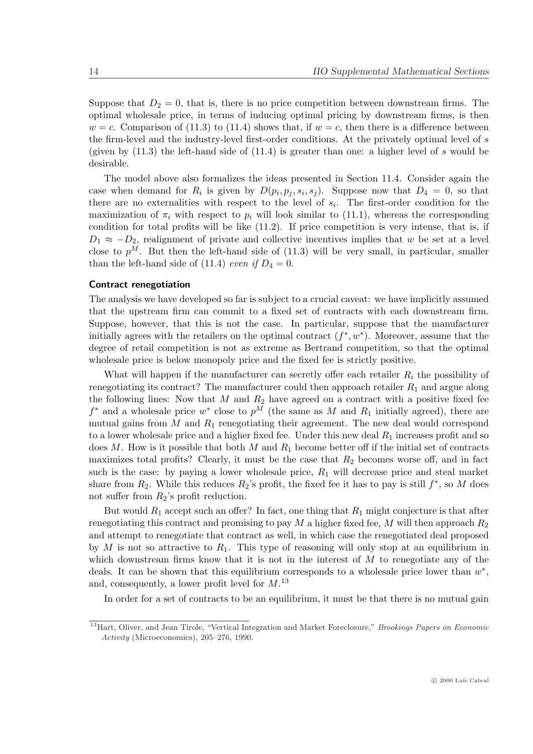Suppose that  $D_2 = 0$ , that is, there is no price competition between downstream firms. The optimal wholesale price, in terms of inducing optimal pricing by downstream firms, is then  $w = c$ . Comparison of (11.3) to (11.4) shows that, if  $w = c$ , then there is a difference between the firm-level and the industry-level first-order conditions. At the privately optimal level of s (given by  $(11.3)$ ) the left-hand side of  $(11.4)$  is greater than one: a higher level of s would be desirable.

The model above also formalizes the ideas presented in Section 11.4. Consider again the case when demand for  $R_i$  is given by  $D(p_i, p_j, s_i, s_j)$ . Suppose now that  $D_4 = 0$ , so that there are no externalities with respect to the level of  $s_i$ . The first-order condition for the maximization of  $\pi_i$  with respect to  $p_i$  will look similar to (11.1), whereas the corresponding condition for total profits will be like (11.2). If price competition is very intense, that is, if  $D_1 \approx -D_2$ , realignment of private and collective incentives implies that w be set at a level close to  $p^M$ . But then the left-hand side of (11.3) will be very small, in particular, smaller than the left-hand side of (11.4) even if  $D_4 = 0$ .

#### Contract renegotiation

The analysis we have developed so far is subject to a crucial caveat: we have implicitly assumed that the upstream firm can commit to a fixed set of contracts with each downstream firm. Suppose, however, that this is not the case. In particular, suppose that the manufacturer initially agrees with the retailers on the optimal contract  $(f^*, w^*)$ . Moreover, assume that the degree of retail competition is not as extreme as Bertrand competition, so that the optimal wholesale price is below monopoly price and the fixed fee is strictly positive.

What will happen if the manufacturer can secretly offer each retailer  $R_i$  the possibility of renegotiating its contract? The manufacturer could then approach retailer  $R_1$  and argue along the following lines: Now that M and  $R_2$  have agreed on a contract with a positive fixed fee  $f^*$  and a wholesale price  $w^*$  close to  $p^M$  (the same as M and  $R_1$  initially agreed), there are mutual gains from  $M$  and  $R_1$  renegotiating their agreement. The new deal would correspond to a lower wholesale price and a higher fixed fee. Under this new deal  $R_1$  increases profit and so does  $M$ . How is it possible that both  $M$  and  $R_1$  become better off if the initial set of contracts maximizes total profits? Clearly, it must be the case that  $R_2$  becomes worse off, and in fact such is the case: by paying a lower wholesale price,  $R_1$  will decrease price and steal market share from  $R_2$ . While this reduces  $R_2$ 's profit, the fixed fee it has to pay is still  $f^*$ , so M does not suffer from  $R_2$ 's profit reduction.

But would  $R_1$  accept such an offer? In fact, one thing that  $R_1$  might conjecture is that after renegotiating this contract and promising to pay  $M$  a higher fixed fee,  $M$  will then approach  $R_2$ and attempt to renegotiate that contract as well, in which case the renegotiated deal proposed by M is not so attractive to  $R_1$ . This type of reasoning will only stop at an equilibrium in which downstream firms know that it is not in the interest of  $M$  to renegotiate any of the deals. It can be shown that this equilibrium corresponds to a wholesale price lower than  $w^*$ , and, consequently, a lower profit level for  $M$ .<sup>13</sup>

In order for a set of contracts to be an equilibrium, it must be that there is no mutual gain

<sup>&</sup>lt;sup>13</sup>Hart, Oliver, and Jean Tirole, "Vertical Integration and Market Foreclosure," Brookings Papers on Economic Activity (Microeconomics), 205–276, 1990.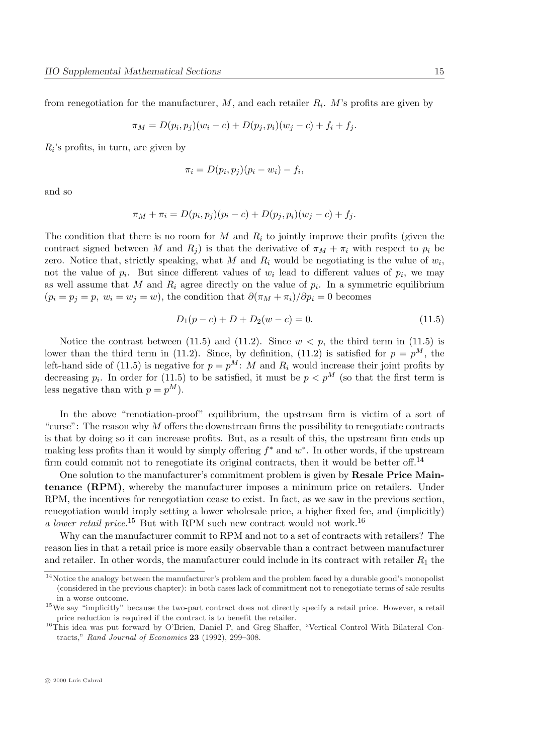from renegotiation for the manufacturer,  $M$ , and each retailer  $R_i$ . M's profits are given by

$$
\pi_M = D(p_i, p_j)(w_i - c) + D(p_j, p_i)(w_j - c) + f_i + f_j.
$$

 $R_i$ 's profits, in turn, are given by

$$
\pi_i = D(p_i, p_j)(p_i - w_i) - f_i,
$$

and so

$$
\pi_M + \pi_i = D(p_i, p_j)(p_i - c) + D(p_j, p_i)(w_j - c) + f_j.
$$

The condition that there is no room for M and  $R_i$  to jointly improve their profits (given the contract signed between M and  $R_i$ ) is that the derivative of  $\pi_M + \pi_i$  with respect to  $p_i$  be zero. Notice that, strictly speaking, what M and  $R_i$  would be negotiating is the value of  $w_i$ , not the value of  $p_i$ . But since different values of  $w_i$  lead to different values of  $p_i$ , we may as well assume that M and  $R_i$  agree directly on the value of  $p_i$ . In a symmetric equilibrium  $(p_i = p_j = p, w_i = w_j = w)$ , the condition that  $\partial(\pi_M + \pi_i)/\partial p_i = 0$  becomes

$$
D_1(p-c) + D + D_2(w-c) = 0.
$$
\n(11.5)

Notice the contrast between (11.5) and (11.2). Since  $w < p$ , the third term in (11.5) is lower than the third term in (11.2). Since, by definition, (11.2) is satisfied for  $p = p<sup>M</sup>$ , the left-hand side of (11.5) is negative for  $p = p^M$ : M and  $R_i$  would increase their joint profits by decreasing  $p_i$ . In order for (11.5) to be satisfied, it must be  $p < p^M$  (so that the first term is less negative than with  $p = p^M$ ).

In the above "renotiation-proof" equilibrium, the upstream firm is victim of a sort of "curse": The reason why  $M$  offers the downstream firms the possibility to renegotiate contracts is that by doing so it can increase profits. But, as a result of this, the upstream firm ends up making less profits than it would by simply offering  $f^*$  and  $w^*$ . In other words, if the upstream firm could commit not to renegotiate its original contracts, then it would be better off.<sup>14</sup>

One solution to the manufacturer's commitment problem is given by Resale Price Maintenance (RPM), whereby the manufacturer imposes a minimum price on retailers. Under RPM, the incentives for renegotiation cease to exist. In fact, as we saw in the previous section, renegotiation would imply setting a lower wholesale price, a higher fixed fee, and (implicitly) a lower retail price.<sup>15</sup> But with RPM such new contract would not work.<sup>16</sup>

Why can the manufacturer commit to RPM and not to a set of contracts with retailers? The reason lies in that a retail price is more easily observable than a contract between manufacturer and retailer. In other words, the manufacturer could include in its contract with retailer  $R_1$  the

 $14$ Notice the analogy between the manufacturer's problem and the problem faced by a durable good's monopolist (considered in the previous chapter): in both cases lack of commitment not to renegotiate terms of sale results in a worse outcome.

<sup>&</sup>lt;sup>15</sup>We say "implicitly" because the two-part contract does not directly specify a retail price. However, a retail price reduction is required if the contract is to benefit the retailer.

<sup>&</sup>lt;sup>16</sup>This idea was put forward by O'Brien, Daniel P, and Greg Shaffer, "Vertical Control With Bilateral Contracts," Rand Journal of Economics 23 (1992), 299–308.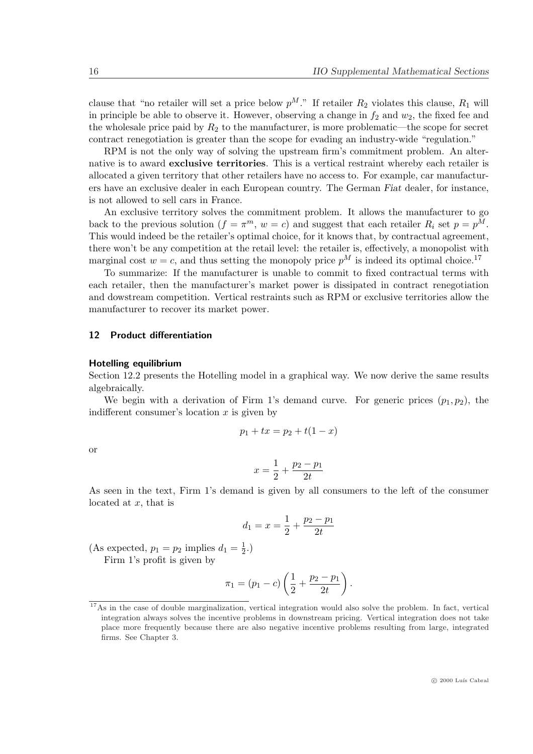clause that "no retailer will set a price below  $p^M$ ." If retailer  $R_2$  violates this clause,  $R_1$  will in principle be able to observe it. However, observing a change in  $f_2$  and  $w_2$ , the fixed fee and the wholesale price paid by  $R_2$  to the manufacturer, is more problematic—the scope for secret contract renegotiation is greater than the scope for evading an industry-wide "regulation."

RPM is not the only way of solving the upstream firm's commitment problem. An alternative is to award exclusive territories. This is a vertical restraint whereby each retailer is allocated a given territory that other retailers have no access to. For example, car manufacturers have an exclusive dealer in each European country. The German Fiat dealer, for instance, is not allowed to sell cars in France.

An exclusive territory solves the commitment problem. It allows the manufacturer to go back to the previous solution  $(f = \pi^m, w = c)$  and suggest that each retailer  $R_i$  set  $p = p^M$ . This would indeed be the retailer's optimal choice, for it knows that, by contractual agreement, there won't be any competition at the retail level: the retailer is, effectively, a monopolist with marginal cost  $w = c$ , and thus setting the monopoly price  $p^{M}$  is indeed its optimal choice.<sup>17</sup>

To summarize: If the manufacturer is unable to commit to fixed contractual terms with each retailer, then the manufacturer's market power is dissipated in contract renegotiation and dowstream competition. Vertical restraints such as RPM or exclusive territories allow the manufacturer to recover its market power.

## 12 Product differentiation

#### Hotelling equilibrium

Section 12.2 presents the Hotelling model in a graphical way. We now derive the same results algebraically.

We begin with a derivation of Firm 1's demand curve. For generic prices  $(p_1, p_2)$ , the indifferent consumer's location  $x$  is given by

$$
p_1 + tx = p_2 + t(1 - x)
$$

or

$$
x = \frac{1}{2} + \frac{p_2 - p_1}{2t}
$$

As seen in the text, Firm 1's demand is given by all consumers to the left of the consumer located at  $x$ , that is

$$
d_1 = x = \frac{1}{2} + \frac{p_2 - p_1}{2t}
$$

(As expected,  $p_1 = p_2$  implies  $d_1 = \frac{1}{2}$  $(\frac{1}{2})$ Firm 1's profit is given by

$$
\pi_1 = (p_1 - c) \left( \frac{1}{2} + \frac{p_2 - p_1}{2t} \right).
$$

 $17\text{As}$  in the case of double marginalization, vertical integration would also solve the problem. In fact, vertical integration always solves the incentive problems in downstream pricing. Vertical integration does not take place more frequently because there are also negative incentive problems resulting from large, integrated firms. See Chapter 3.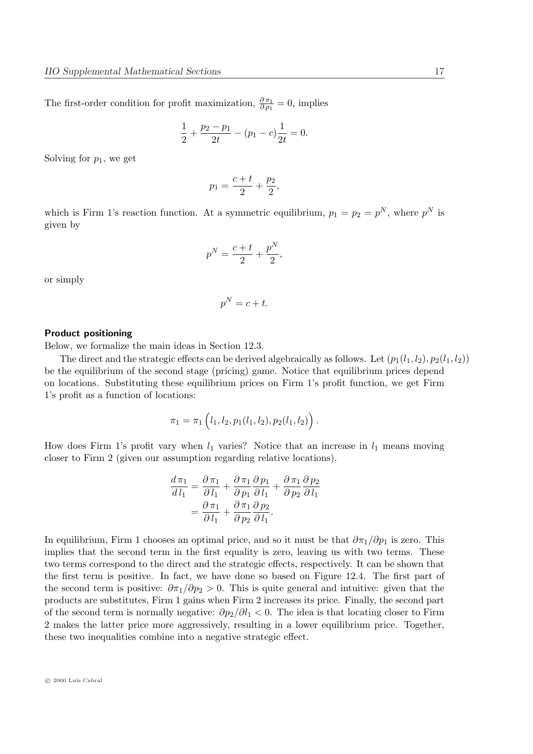The first-order condition for profit maximization,  $\frac{\partial \pi_1}{\partial p_1} = 0$ , implies

$$
\frac{1}{2} + \frac{p_2 - p_1}{2t} - (p_1 - c)\frac{1}{2t} = 0.
$$

Solving for  $p_1$ , we get

$$
p_1 = \frac{c+t}{2} + \frac{p_2}{2},
$$

which is Firm 1's reaction function. At a symmetric equilibrium,  $p_1 = p_2 = p^N$ , where  $p^N$  is given by

$$
p^N = \frac{c+t}{2} + \frac{p^N}{2},
$$

or simply

$$
p^N = c + t.
$$

#### Product positioning

Below, we formalize the main ideas in Section 12.3.

The direct and the strategic effects can be derived algebraically as follows. Let  $(p_1(l_1, l_2), p_2(l_1, l_2))$ be the equilibrium of the second stage (pricing) game. Notice that equilibrium prices depend on locations. Substituting these equilibrium prices on Firm 1's profit function, we get Firm 1's profit as a function of locations:

$$
\pi_1 = \pi_1(l_1, l_2, p_1(l_1, l_2), p_2(l_1, l_2)).
$$

How does Firm 1's profit vary when  $l_1$  varies? Notice that an increase in  $l_1$  means moving closer to Firm 2 (given our assumption regarding relative locations).

$$
\frac{d \pi_1}{d l_1} = \frac{\partial \pi_1}{\partial l_1} + \frac{\partial \pi_1}{\partial p_1} \frac{\partial p_1}{\partial l_1} + \frac{\partial \pi_1}{\partial p_2} \frac{\partial p_2}{\partial l_1}
$$

$$
= \frac{\partial \pi_1}{\partial l_1} + \frac{\partial \pi_1}{\partial p_2} \frac{\partial p_2}{\partial l_1}.
$$

In equilibrium, Firm 1 chooses an optimal price, and so it must be that  $\partial \pi_1/\partial p_1$  is zero. This implies that the second term in the first equality is zero, leaving us with two terms. These two terms correspond to the direct and the strategic effects, respectively. It can be shown that the first term is positive. In fact, we have done so based on Figure 12.4. The first part of the second term is positive:  $\partial \pi_1/\partial p_2 > 0$ . This is quite general and intuitive: given that the products are substitutes, Firm 1 gains when Firm 2 increases its price. Finally, the second part of the second term is normally negative:  $\partial p_2/\partial l_1 < 0$ . The idea is that locating closer to Firm 2 makes the latter price more aggressively, resulting in a lower equilibrium price. Together, these two inequalities combine into a negative strategic effect.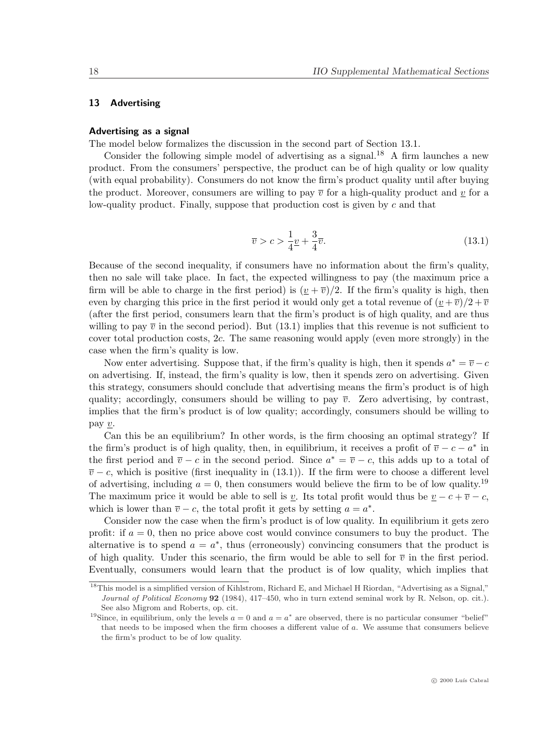## 13 Advertising

#### Advertising as a signal

The model below formalizes the discussion in the second part of Section 13.1.

Consider the following simple model of advertising as a signal.<sup>18</sup> A firm launches a new product. From the consumers' perspective, the product can be of high quality or low quality (with equal probability). Consumers do not know the firm's product quality until after buying the product. Moreover, consumers are willing to pay  $\overline{v}$  for a high-quality product and v for a low-quality product. Finally, suppose that production cost is given by  $c$  and that

$$
\overline{v} > c > \frac{1}{4}\underline{v} + \frac{3}{4}\overline{v}.\tag{13.1}
$$

Because of the second inequality, if consumers have no information about the firm's quality, then no sale will take place. In fact, the expected willingness to pay (the maximum price a firm will be able to charge in the first period) is  $(v + \overline{v})/2$ . If the firm's quality is high, then even by charging this price in the first period it would only get a total revenue of  $(\nu + \overline{\nu})/2 + \overline{\nu}$ (after the first period, consumers learn that the firm's product is of high quality, and are thus willing to pay  $\bar{v}$  in the second period). But (13.1) implies that this revenue is not sufficient to cover total production costs, 2c. The same reasoning would apply (even more strongly) in the case when the firm's quality is low.

Now enter advertising. Suppose that, if the firm's quality is high, then it spends  $a^* = \overline{v} - c$ on advertising. If, instead, the firm's quality is low, then it spends zero on advertising. Given this strategy, consumers should conclude that advertising means the firm's product is of high quality; accordingly, consumers should be willing to pay  $\overline{v}$ . Zero advertising, by contrast, implies that the firm's product is of low quality; accordingly, consumers should be willing to pay  $\underline{v}$ .

Can this be an equilibrium? In other words, is the firm choosing an optimal strategy? If the firm's product is of high quality, then, in equilibrium, it receives a profit of  $\overline{v} - c - a^*$  in the first period and  $\overline{v} - c$  in the second period. Since  $a^* = \overline{v} - c$ , this adds up to a total of  $\overline{v}$  − c, which is positive (first inequality in (13.1)). If the firm were to choose a different level of advertising, including  $a = 0$ , then consumers would believe the firm to be of low quality.<sup>19</sup> The maximum price it would be able to sell is v. Its total profit would thus be  $v - c + \overline{v} - c$ , which is lower than  $\overline{v} - c$ , the total profit it gets by setting  $a = a^*$ .

Consider now the case when the firm's product is of low quality. In equilibrium it gets zero profit: if  $a = 0$ , then no price above cost would convince consumers to buy the product. The alternative is to spend  $a = a^*$ , thus (erroneously) convincing consumers that the product is of high quality. Under this scenario, the firm would be able to sell for  $\bar{v}$  in the first period. Eventually, consumers would learn that the product is of low quality, which implies that

<sup>&</sup>lt;sup>18</sup>This model is a simplified version of Kihlstrom, Richard E, and Michael H Riordan, "Advertising as a Signal," Journal of Political Economy 92 (1984), 417–450, who in turn extend seminal work by R. Nelson, op. cit.). See also Migrom and Roberts, op. cit.

<sup>&</sup>lt;sup>19</sup>Since, in equilibrium, only the levels  $a = 0$  and  $a = a^*$  are observed, there is no particular consumer "belief" that needs to be imposed when the firm chooses a different value of a. We assume that consumers believe the firm's product to be of low quality.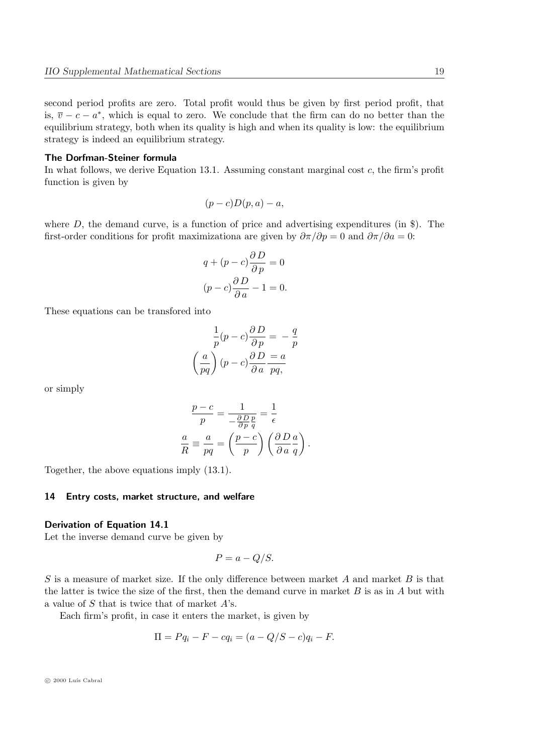second period profits are zero. Total profit would thus be given by first period profit, that is,  $\overline{v} - c - a^*$ , which is equal to zero. We conclude that the firm can do no better than the equilibrium strategy, both when its quality is high and when its quality is low: the equilibrium strategy is indeed an equilibrium strategy.

#### The Dorfman-Steiner formula

In what follows, we derive Equation 13.1. Assuming constant marginal cost  $c$ , the firm's profit function is given by

$$
(p-c)D(p,a)-a,
$$

where  $D$ , the demand curve, is a function of price and advertising expenditures (in  $\hat{\mathcal{S}}$ ). The first-order conditions for profit maximizationa are given by  $\partial \pi / \partial p = 0$  and  $\partial \pi / \partial a = 0$ :

$$
q + (p - c)\frac{\partial D}{\partial p} = 0
$$

$$
(p - c)\frac{\partial D}{\partial a} - 1 = 0.
$$

These equations can be transfored into

$$
\frac{1}{p}(p-c)\frac{\partial D}{\partial p} = -\frac{q}{p}
$$

$$
\left(\frac{a}{pq}\right)(p-c)\frac{\partial D}{\partial a}\frac{a}{pq},
$$

or simply

$$
\frac{p-c}{p} = \frac{1}{-\frac{\partial D}{\partial p}\frac{p}{q}} = \frac{1}{\epsilon}
$$

$$
\frac{a}{R} \equiv \frac{a}{pq} = \left(\frac{p-c}{p}\right) \left(\frac{\partial D}{\partial a}\frac{a}{q}\right).
$$

Together, the above equations imply (13.1).

## 14 Entry costs, market structure, and welfare

#### Derivation of Equation 14.1

Let the inverse demand curve be given by

$$
P = a - Q/S.
$$

S is a measure of market size. If the only difference between market A and market B is that the latter is twice the size of the first, then the demand curve in market  $B$  is as in  $A$  but with a value of  $S$  that is twice that of market  $A$ 's.

Each firm's profit, in case it enters the market, is given by

$$
\Pi = Pq_i - F - cq_i = (a - Q/S - c)q_i - F.
$$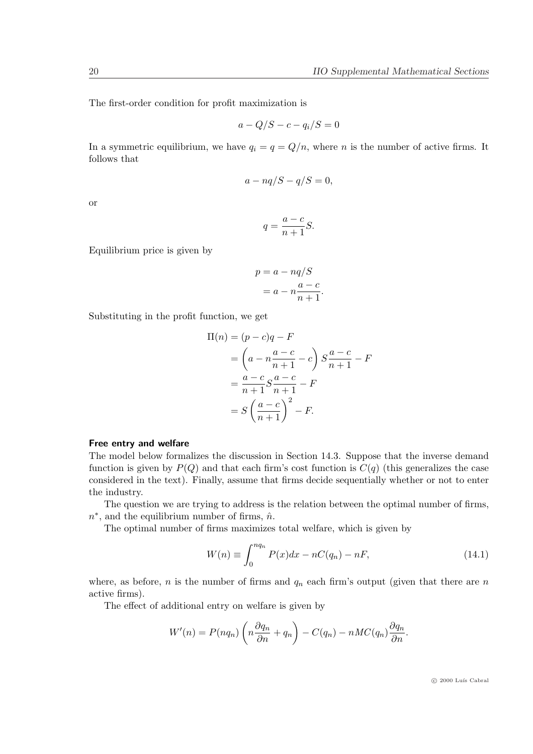The first-order condition for profit maximization is

$$
a - Q/S - c - q_i/S = 0
$$

In a symmetric equilibrium, we have  $q_i = q = Q/n$ , where n is the number of active firms. It follows that

$$
a-nq/S-q/S=0,
$$

or

$$
q = \frac{a-c}{n+1}S.
$$

Equilibrium price is given by

$$
p = a - nq/S
$$

$$
= a - n\frac{a - c}{n + 1}.
$$

Substituting in the profit function, we get

$$
\Pi(n) = (p - c)q - F
$$
\n
$$
= \left(a - n\frac{a - c}{n + 1} - c\right) S \frac{a - c}{n + 1} - F
$$
\n
$$
= \frac{a - c}{n + 1} S \frac{a - c}{n + 1} - F
$$
\n
$$
= S \left(\frac{a - c}{n + 1}\right)^2 - F.
$$

#### Free entry and welfare

The model below formalizes the discussion in Section 14.3. Suppose that the inverse demand function is given by  $P(Q)$  and that each firm's cost function is  $C(q)$  (this generalizes the case considered in the text). Finally, assume that firms decide sequentially whether or not to enter the industry.

The question we are trying to address is the relation between the optimal number of firms,  $n^*$ , and the equilibrium number of firms,  $\hat{n}$ .

The optimal number of firms maximizes total welfare, which is given by

$$
W(n) \equiv \int_0^{nq_n} P(x)dx - nC(q_n) - nF,
$$
\n(14.1)

where, as before, n is the number of firms and  $q_n$  each firm's output (given that there are n active firms).

The effect of additional entry on welfare is given by

$$
W'(n) = P(nq_n) \left( n \frac{\partial q_n}{\partial n} + q_n \right) - C(q_n) - nMC(q_n) \frac{\partial q_n}{\partial n}.
$$

 $\odot$  2000 Luís Cabral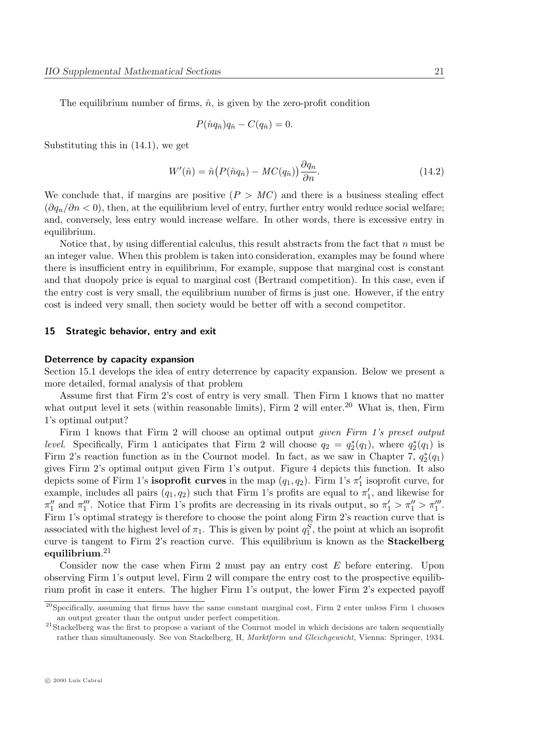The equilibrium number of firms,  $\hat{n}$ , is given by the zero-profit condition

$$
P(\hat{n}q_{\hat{n}})q_{\hat{n}} - C(q_{\hat{n}}) = 0.
$$

Substituting this in (14.1), we get

$$
W'(\hat{n}) = \hat{n} \left( P(\hat{n}q_{\hat{n}}) - MC(q_{\hat{n}}) \right) \frac{\partial q_n}{\partial n}.
$$
\n(14.2)

We conclude that, if margins are positive  $(P > MC)$  and there is a business stealing effect  $(\partial q_n/\partial n < 0)$ , then, at the equilibrium level of entry, further entry would reduce social welfare; and, conversely, less entry would increase welfare. In other words, there is excessive entry in equilibrium.

Notice that, by using differential calculus, this result abstracts from the fact that  $n$  must be an integer value. When this problem is taken into consideration, examples may be found where there is insufficient entry in equilibrium, For example, suppose that marginal cost is constant and that duopoly price is equal to marginal cost (Bertrand competition). In this case, even if the entry cost is very small, the equilibrium number of firms is just one. However, if the entry cost is indeed very small, then society would be better off with a second competitor.

#### 15 Strategic behavior, entry and exit

#### Deterrence by capacity expansion

Section 15.1 develops the idea of entry deterrence by capacity expansion. Below we present a more detailed, formal analysis of that problem

Assume first that Firm 2's cost of entry is very small. Then Firm 1 knows that no matter what output level it sets (within reasonable limits), Firm 2 will enter.<sup>20</sup> What is, then, Firm 1's optimal output?

Firm 1 knows that Firm 2 will choose an optimal output given Firm 1's preset output *level.* Specifically, Firm 1 anticipates that Firm 2 will choose  $q_2 = q_2^*(q_1)$ , where  $q_2^*(q_1)$  is Firm 2's reaction function as in the Cournot model. In fact, as we saw in Chapter 7,  $q_2^*(q_1)$ gives Firm 2's optimal output given Firm 1's output. Figure 4 depicts this function. It also depicts some of Firm 1's **isoprofit curves** in the map  $(q_1, q_2)$ . Firm 1's  $\pi'_1$  isoprofit curve, for example, includes all pairs  $(q_1, q_2)$  such that Firm 1's profits are equal to  $\pi'_1$ , and likewise for  $\pi_1''$  and  $\pi_1'''$ . Notice that Firm 1's profits are decreasing in its rivals output, so  $\pi_1' > \pi_1'' > \pi_1'''$ . Firm 1's optimal strategy is therefore to choose the point along Firm 2's reaction curve that is associated with the highest level of  $\pi_1$ . This is given by point  $q_1^S$ , the point at which an isoprofit curve is tangent to Firm 2's reaction curve. This equilibrium is known as the Stackelberg  $\rm equilibrium.^{21}$ 

Consider now the case when Firm 2 must pay an entry cost  $E$  before entering. Upon observing Firm 1's output level, Firm 2 will compare the entry cost to the prospective equilibrium profit in case it enters. The higher Firm 1's output, the lower Firm 2's expected payoff

 $^{20}$ Specifically, assuming that firms have the same constant marginal cost, Firm 2 enter unless Firm 1 chooses an output greater than the output under perfect competition.

<sup>&</sup>lt;sup>21</sup>Stackelberg was the first to propose a variant of the Cournot model in which decisions are taken sequentially rather than simultaneously. See von Stackelberg, H, Marktform und Gleichgewicht, Vienna: Springer, 1934.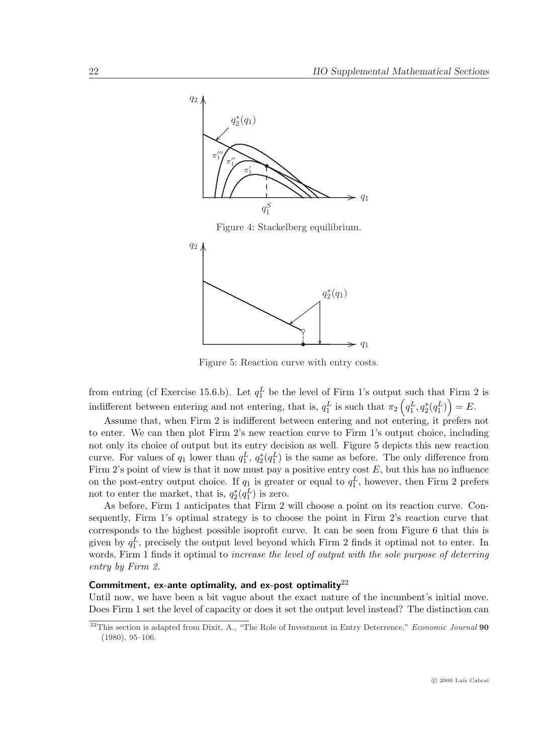



Figure 5: Reaction curve with entry costs.

from entring (cf Exercise 15.6.b). Let  $q_1^L$  be the level of Firm 1's output such that Firm 2 is indifferent between entering and not entering, that is,  $q_1^L$  is such that  $\pi_2\left(q_1^L, q_2^*(q_1^L)\right) = E$ .

Assume that, when Firm 2 is indifferent between entering and not entering, it prefers not to enter. We can then plot Firm 2's new reaction curve to Firm 1's output choice, including not only its choice of output but its entry decision as well. Figure 5 depicts this new reaction curve. For values of  $q_1$  lower than  $q_1^L$ ,  $q_2^*(q_1^L)$  is the same as before. The only difference from Firm 2's point of view is that it now must pay a positive entry cost  $E$ , but this has no influence on the post-entry output choice. If  $q_1$  is greater or equal to  $q_1^L$ , however, then Firm 2 prefers not to enter the market, that is,  $q_2^*(q_1^L)$  is zero.

As before, Firm 1 anticipates that Firm 2 will choose a point on its reaction curve. Consequently, Firm 1's optimal strategy is to choose the point in Firm 2's reaction curve that corresponds to the highest possible isoprofit curve. It can be seen from Figure 6 that this is given by  $q_1^L$ , precisely the output level beyond which Firm 2 finds it optimal not to enter. In words, Firm 1 finds it optimal to *increase the level of output with the sole purpose of deterring* entry by Firm 2.

## Commitment, ex-ante optimality, and ex-post optimality $^{22}$

Until now, we have been a bit vague about the exact nature of the incumbent's initial move. Does Firm 1 set the level of capacity or does it set the output level instead? The distinction can

<sup>&</sup>lt;sup>22</sup>This section is adapted from Dixit, A., "The Role of Investment in Entry Deterrence," Economic Journal 90 (1980), 95–106.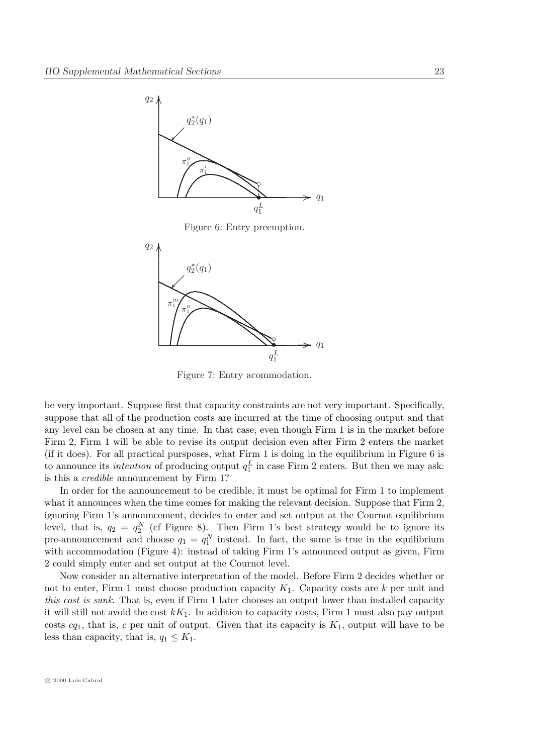

Figure 6: Entry preemption.



Figure 7: Entry acommodation.

be very important. Suppose first that capacity constraints are not very important. Specifically, suppose that all of the production costs are incurred at the time of choosing output and that any level can be chosen at any time. In that case, even though Firm 1 is in the market before Firm 2, Firm 1 will be able to revise its output decision even after Firm 2 enters the market (if it does). For all practical pursposes, what Firm 1 is doing in the equilibrium in Figure 6 is to announce its *intention* of producing output  $q_1^L$  in case Firm 2 enters. But then we may ask: is this a credible announcement by Firm 1?

In order for the announcement to be credible, it must be optimal for Firm 1 to implement what it announces when the time comes for making the relevant decision. Suppose that Firm 2, ignoring Firm 1's announcement, decides to enter and set output at the Cournot equilibrium level, that is,  $q_2 = q_2^N$  (cf Figure 8). Then Firm 1's best strategy would be to ignore its pre-announcement and choose  $q_1 = q_1^N$  instead. In fact, the same is true in the equilibrium with accommodation (Figure 4): instead of taking Firm 1's announced output as given, Firm 2 could simply enter and set output at the Cournot level.

Now consider an alternative interpretation of the model. Before Firm 2 decides whether or not to enter, Firm 1 must choose production capacity  $K_1$ . Capacity costs are  $k$  per unit and this cost is sunk. That is, even if Firm 1 later chooses an output lower than installed capacity it will still not avoid the cost  $k_{1}$ . In addition to capacity costs, Firm 1 must also pay output costs  $cq_1$ , that is, c per unit of output. Given that its capacity is  $K_1$ , output will have to be less than capacity, that is,  $q_1 \leq K_1$ .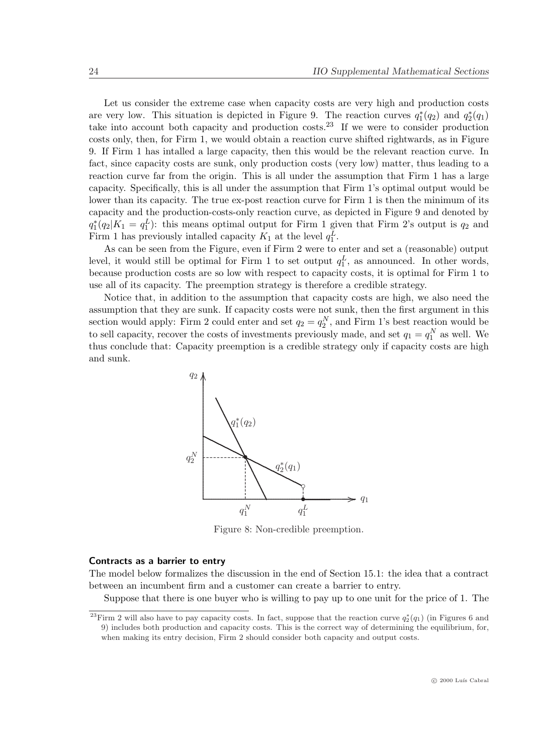Let us consider the extreme case when capacity costs are very high and production costs are very low. This situation is depicted in Figure 9. The reaction curves  $q_1^*(q_2)$  and  $q_2^*(q_1)$ take into account both capacity and production costs.<sup>23</sup> If we were to consider production costs only, then, for Firm 1, we would obtain a reaction curve shifted rightwards, as in Figure 9. If Firm 1 has intalled a large capacity, then this would be the relevant reaction curve. In fact, since capacity costs are sunk, only production costs (very low) matter, thus leading to a reaction curve far from the origin. This is all under the assumption that Firm 1 has a large capacity. Specifically, this is all under the assumption that Firm 1's optimal output would be lower than its capacity. The true ex-post reaction curve for Firm 1 is then the minimum of its capacity and the production-costs-only reaction curve, as depicted in Figure 9 and denoted by  $q_1^*(q_2|K_1 = q_1^L)$ : this means optimal output for Firm 1 given that Firm 2's output is  $q_2$  and Firm 1 has previously intalled capacity  $K_1$  at the level  $q_1^L$ .

As can be seen from the Figure, even if Firm 2 were to enter and set a (reasonable) output level, it would still be optimal for Firm 1 to set output  $q_1^L$ , as announced. In other words, because production costs are so low with respect to capacity costs, it is optimal for Firm 1 to use all of its capacity. The preemption strategy is therefore a credible strategy.

Notice that, in addition to the assumption that capacity costs are high, we also need the assumption that they are sunk. If capacity costs were not sunk, then the first argument in this section would apply: Firm 2 could enter and set  $q_2 = q_2^N$ , and Firm 1's best reaction would be to sell capacity, recover the costs of investments previously made, and set  $q_1 = q_1^N$  as well. We thus conclude that: Capacity preemption is a credible strategy only if capacity costs are high and sunk.



Figure 8: Non-credible preemption.

#### Contracts as a barrier to entry

The model below formalizes the discussion in the end of Section 15.1: the idea that a contract between an incumbent firm and a customer can create a barrier to entry.

Suppose that there is one buyer who is willing to pay up to one unit for the price of 1. The

<sup>&</sup>lt;sup>23</sup>Firm 2 will also have to pay capacity costs. In fact, suppose that the reaction curve  $q_2^*(q_1)$  (in Figures 6 and 9) includes both production and capacity costs. This is the correct way of determining the equilibrium, for, when making its entry decision, Firm 2 should consider both capacity and output costs.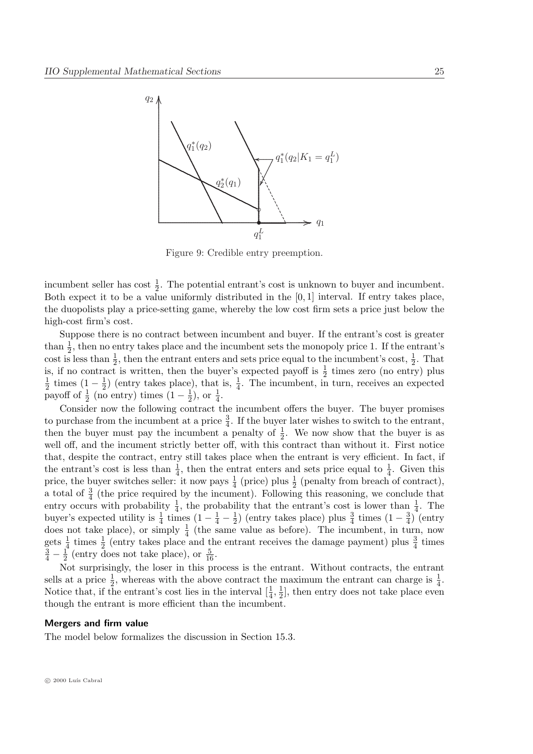

Figure 9: Credible entry preemption.

incumbent seller has cost  $\frac{1}{2}$ . The potential entrant's cost is unknown to buyer and incumbent. Both expect it to be a value uniformly distributed in the [0, 1] interval. If entry takes place, the duopolists play a price-setting game, whereby the low cost firm sets a price just below the high-cost firm's cost.

Suppose there is no contract between incumbent and buyer. If the entrant's cost is greater than  $\frac{1}{2}$ , then no entry takes place and the incumbent sets the monopoly price 1. If the entrant's cost is less than  $\frac{1}{2}$ , then the entrant enters and sets price equal to the incumbent's cost,  $\frac{1}{2}$ . That is, if no contract is written, then the buyer's expected payoff is  $\frac{1}{2}$  times zero (no entry) plus 1  $rac{1}{2}$  times  $(1 - \frac{1}{2})$  $\frac{1}{2}$ ) (entry takes place), that is,  $\frac{1}{4}$ . The incumbent, in turn, receives an expected payoff of  $\frac{1}{2}$  (no entry) times  $(1 - \frac{1}{2})$  $(\frac{1}{2}),$  or  $(\frac{1}{4}).$ 

Consider now the following contract the incumbent offers the buyer. The buyer promises to purchase from the incumbent at a price  $\frac{3}{4}$ . If the buyer later wishes to switch to the entrant, then the buyer must pay the incumbent a penalty of  $\frac{1}{2}$ . We now show that the buyer is as well off, and the incument strictly better off, with this contract than without it. First notice that, despite the contract, entry still takes place when the entrant is very efficient. In fact, if the entrant's cost is less than  $\frac{1}{4}$ , then the entrat enters and sets price equal to  $\frac{1}{4}$ . Given this price, the buyer switches seller: it now pays  $\frac{1}{4}$  (price) plus  $\frac{1}{2}$  (penalty from breach of contract), a total of  $\frac{3}{4}$  (the price required by the incument). Following this reasoning, we conclude that entry occurs with probability  $\frac{1}{4}$ , the probability that the entrant's cost is lower than  $\frac{1}{4}$ . The buyer's expected utility is  $\frac{1}{4}$  times  $(1 - \frac{1}{4} - \frac{1}{2})$  $\frac{1}{2}$ ) (entry takes place) plus  $\frac{3}{4}$  times  $(1-\frac{3}{4})$  $\frac{3}{4}$ ) (entry does not take place), or simply  $\frac{1}{4}$  (the same value as before). The incumbent, in turn, now gets  $\frac{1}{4}$  times  $\frac{1}{2}$  (entry takes place and the entrant receives the damage payment) plus  $\frac{3}{4}$  times  $\frac{3}{4} - \frac{1}{2}$  $\frac{1}{2}$  (entry does not take place), or  $\frac{5}{16}$ .

Not surprisingly, the loser in this process is the entrant. Without contracts, the entrant sells at a price  $\frac{1}{2}$ , whereas with the above contract the maximum the entrant can charge is  $\frac{1}{4}$ . Notice that, if the entrant's cost lies in the interval  $[\frac{1}{4}, \frac{1}{2}]$  $\frac{1}{2}$ , then entry does not take place even though the entrant is more efficient than the incumbent.

#### Mergers and firm value

The model below formalizes the discussion in Section 15.3.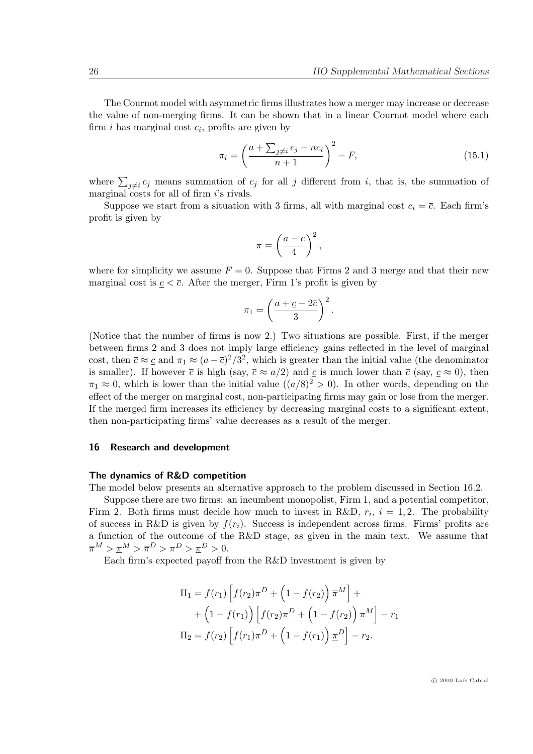The Cournot model with asymmetric firms illustrates how a merger may increase or decrease the value of non-merging firms. It can be shown that in a linear Cournot model where each firm  $i$  has marginal cost  $c_i$ , profits are given by

$$
\pi_i = \left(\frac{a + \sum_{j \neq i} c_j - nc_i}{n+1}\right)^2 - F,\tag{15.1}
$$

where  $\sum_{j\neq i}c_j$  means summation of  $c_j$  for all j different from i, that is, the summation of marginal costs for all of firm *i*'s rivals.

Suppose we start from a situation with 3 firms, all with marginal cost  $c_i = \overline{c}$ . Each firm's profit is given by

$$
\pi = \left(\frac{a-\overline{c}}{4}\right)^2,
$$

where for simplicity we assume  $F = 0$ . Suppose that Firms 2 and 3 merge and that their new marginal cost is  $c < \overline{c}$ . After the merger, Firm 1's profit is given by

$$
\pi_1 = \left(\frac{a+\underline{c}-2\overline{c}}{3}\right)^2.
$$

(Notice that the number of firms is now 2.) Two situations are possible. First, if the merger between firms 2 and 3 does not imply large efficiency gains reflected in the level of marginal cost, then  $\bar{c} \approx \bar{c}$  and  $\pi_1 \approx (a - \bar{c})^2/3^2$ , which is greater than the initial value (the denominator is smaller). If however  $\bar{c}$  is high (say,  $\bar{c} \approx a/2$ ) and c is much lower than  $\bar{c}$  (say,  $c \approx 0$ ), then  $\pi_1 \approx 0$ , which is lower than the initial value  $((a/8)^2 > 0)$ . In other words, depending on the effect of the merger on marginal cost, non-participating firms may gain or lose from the merger. If the merged firm increases its efficiency by decreasing marginal costs to a significant extent, then non-participating firms' value decreases as a result of the merger.

## 16 Research and development

#### The dynamics of R&D competition

The model below presents an alternative approach to the problem discussed in Section 16.2.

Suppose there are two firms: an incumbent monopolist, Firm 1, and a potential competitor, Firm 2. Both firms must decide how much to invest in R&D,  $r_i$ ,  $i = 1, 2$ . The probability of success in R&D is given by  $f(r_i)$ . Success is independent across firms. Firms' profits are a function of the outcome of the R&D stage, as given in the main text. We assume that  $\overline{\pi}^M > \underline{\pi}^M > \overline{\pi}^D > \pi^D > \underline{\pi}^D > 0.$ 

Each firm's expected payoff from the R&D investment is given by

$$
\Pi_1 = f(r_1) \left[ f(r_2) \pi^D + \left( 1 - f(r_2) \right) \overline{\pi}^M \right] +
$$
  
+ 
$$
\left( 1 - f(r_1) \right) \left[ f(r_2) \underline{\pi}^D + \left( 1 - f(r_2) \right) \underline{\pi}^M \right] - r_1
$$
  

$$
\Pi_2 = f(r_2) \left[ f(r_1) \pi^D + \left( 1 - f(r_1) \right) \underline{\pi}^D \right] - r_2.
$$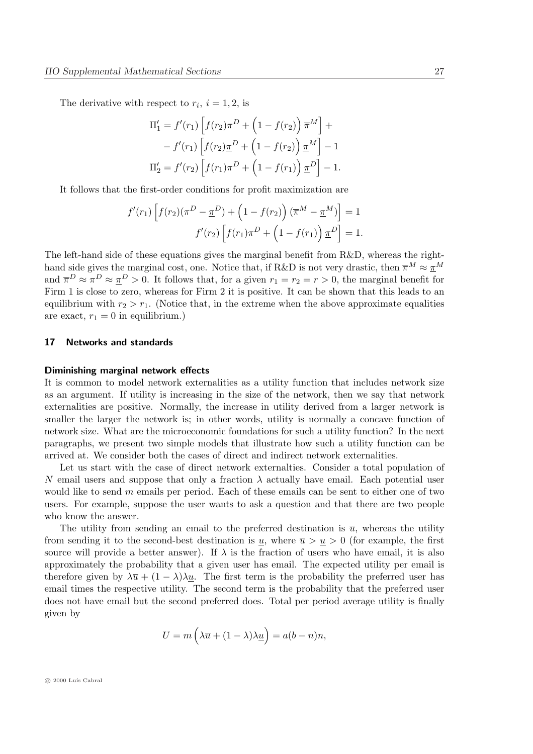The derivative with respect to  $r_i$ ,  $i = 1, 2$ , is

$$
\Pi'_{1} = f'(r_{1}) \left[ f(r_{2}) \pi^{D} + \left( 1 - f(r_{2}) \right) \overline{\pi}^{M} \right] +
$$
  
-  $f'(r_{1}) \left[ f(r_{2}) \underline{\pi}^{D} + \left( 1 - f(r_{2}) \right) \underline{\pi}^{M} \right] - 1$   

$$
\Pi'_{2} = f'(r_{2}) \left[ f(r_{1}) \pi^{D} + \left( 1 - f(r_{1}) \right) \underline{\pi}^{D} \right] - 1.
$$

It follows that the first-order conditions for profit maximization are

$$
f'(r_1)\left[f(r_2)(\pi^D - \underline{\pi}^D) + \left(1 - f(r_2)\right)(\overline{\pi}^M - \underline{\pi}^M)\right] = 1
$$

$$
f'(r_2)\left[f(r_1)\pi^D + \left(1 - f(r_1)\right)\underline{\pi}^D\right] = 1.
$$

The left-hand side of these equations gives the marginal benefit from R&D, whereas the righthand side gives the marginal cost, one. Notice that, if R&D is not very drastic, then  $\overline{\pi}^M \approx \underline{\pi}^M$ and  $\overline{\pi}^D \approx \pi^D \approx \underline{\pi}^D > 0$ . It follows that, for a given  $r_1 = r_2 = r > 0$ , the marginal benefit for Firm 1 is close to zero, whereas for Firm 2 it is positive. It can be shown that this leads to an equilibrium with  $r_2 > r_1$ . (Notice that, in the extreme when the above approximate equalities are exact,  $r_1 = 0$  in equilibrium.)

#### 17 Networks and standards

#### Diminishing marginal network effects

It is common to model network externalities as a utility function that includes network size as an argument. If utility is increasing in the size of the network, then we say that network externalities are positive. Normally, the increase in utility derived from a larger network is smaller the larger the network is; in other words, utility is normally a concave function of network size. What are the microeconomic foundations for such a utility function? In the next paragraphs, we present two simple models that illustrate how such a utility function can be arrived at. We consider both the cases of direct and indirect network externalities.

Let us start with the case of direct network externalties. Consider a total population of N email users and suppose that only a fraction  $\lambda$  actually have email. Each potential user would like to send  $m$  emails per period. Each of these emails can be sent to either one of two users. For example, suppose the user wants to ask a question and that there are two people who know the answer.

The utility from sending an email to the preferred destination is  $\overline{u}$ , whereas the utility from sending it to the second-best destination is  $\underline{u}$ , where  $\overline{u} > \underline{u} > 0$  (for example, the first source will provide a better answer). If  $\lambda$  is the fraction of users who have email, it is also approximately the probability that a given user has email. The expected utility per email is therefore given by  $\lambda \bar{u} + (1 - \lambda)\lambda u$ . The first term is the probability the preferred user has email times the respective utility. The second term is the probability that the preferred user does not have email but the second preferred does. Total per period average utility is finally given by

$$
U=m\left(\lambda\overline{u}+(1-\lambda)\lambda\underline{u}\right)=a(b-n)n,
$$

 $\circ$  2000 Luís Cabral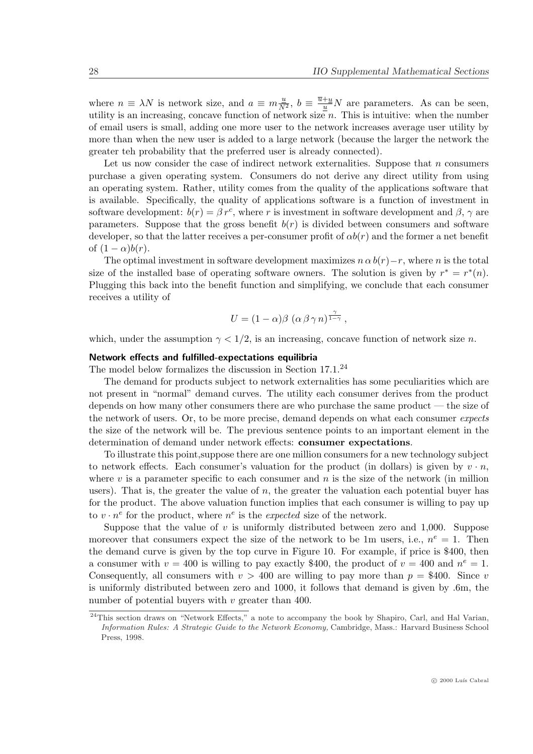where  $n \equiv \lambda N$  is network size, and  $a \equiv m \frac{u}{N^2}$ ,  $b \equiv \frac{\overline{u} + \underline{u}}{\underline{u}} N$  are parameters. As can be seen, utility is an increasing, concave function of network size  $n$ . This is intuitive: when the number of email users is small, adding one more user to the network increases average user utility by more than when the new user is added to a large network (because the larger the network the greater teh probability that the preferred user is already connected).

Let us now consider the case of indirect network externalities. Suppose that  $n$  consumers purchase a given operating system. Consumers do not derive any direct utility from using an operating system. Rather, utility comes from the quality of the applications software that is available. Specifically, the quality of applications software is a function of investment in software development:  $b(r) = \beta r^c$ , where r is investment in software development and  $\beta$ ,  $\gamma$  are parameters. Suppose that the gross benefit  $b(r)$  is divided between consumers and software developer, so that the latter receives a per-consumer profit of  $\alpha b(r)$  and the former a net benefit of  $(1 - \alpha)b(r)$ .

The optimal investment in software development maximizes  $n \alpha b(r)-r$ , where n is the total size of the installed base of operating software owners. The solution is given by  $r^* = r^*(n)$ . Plugging this back into the benefit function and simplifying, we conclude that each consumer receives a utility of

$$
U=(1-\alpha)\beta\,\left(\alpha\,\beta\,\gamma\,n\right)^{\frac{\gamma}{1-\gamma}},
$$

which, under the assumption  $\gamma < 1/2$ , is an increasing, concave function of network size n.

#### Network effects and fulfilled-expectations equilibria

The model below formalizes the discussion in Section 17.1.<sup>24</sup>

The demand for products subject to network externalities has some peculiarities which are not present in "normal" demand curves. The utility each consumer derives from the product depends on how many other consumers there are who purchase the same product — the size of the network of users. Or, to be more precise, demand depends on what each consumer expects the size of the network will be. The previous sentence points to an important element in the determination of demand under network effects: consumer expectations.

To illustrate this point,suppose there are one million consumers for a new technology subject to network effects. Each consumer's valuation for the product (in dollars) is given by  $v \cdot n$ , where  $v$  is a parameter specific to each consumer and  $n$  is the size of the network (in million users). That is, the greater the value of  $n$ , the greater the valuation each potential buyer has for the product. The above valuation function implies that each consumer is willing to pay up to  $v \cdot n^e$  for the product, where  $n^e$  is the *expected* size of the network.

Suppose that the value of v is uniformly distributed between zero and 1,000. Suppose moreover that consumers expect the size of the network to be 1m users, i.e.,  $n^e = 1$ . Then the demand curve is given by the top curve in Figure 10. For example, if price is \$400, then a consumer with  $v = 400$  is willing to pay exactly \$400, the product of  $v = 400$  and  $n^e = 1$ . Consequently, all consumers with  $v > 400$  are willing to pay more than  $p = $400$ . Since v is uniformly distributed between zero and 1000, it follows that demand is given by .6m, the number of potential buyers with  $v$  greater than 400.

 $\frac{1}{24}$ This section draws on "Network Effects," a note to accompany the book by Shapiro, Carl, and Hal Varian, Information Rules: A Strategic Guide to the Network Economy, Cambridge, Mass.: Harvard Business School Press, 1998.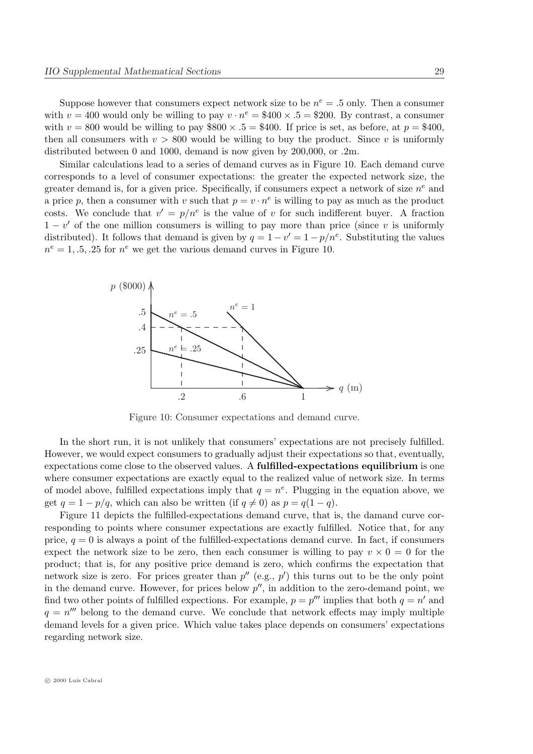Suppose however that consumers expect network size to be  $n^e = .5$  only. Then a consumer with  $v = 400$  would only be willing to pay  $v \cdot n^e = $400 \times .5 = $200$ . By contrast, a consumer with  $v = 800$  would be willing to pay \$800  $\times$  .5 = \$400. If price is set, as before, at  $p = $400$ , then all consumers with  $v > 800$  would be willing to buy the product. Since v is uniformly distributed between 0 and 1000, demand is now given by 200,000, or .2m.

Similar calculations lead to a series of demand curves as in Figure 10. Each demand curve corresponds to a level of consumer expectations: the greater the expected network size, the greater demand is, for a given price. Specifically, if consumers expect a network of size  $n^e$  and a price p, then a consumer with v such that  $p = v \cdot n^e$  is willing to pay as much as the product costs. We conclude that  $v' = p/n^e$  is the value of v for such indifferent buyer. A fraction  $1 - v'$  of the one million consumers is willing to pay more than price (since v is uniformly distributed). It follows that demand is given by  $q = 1 - v' = 1 - p/n^e$ . Substituting the values  $n^e = 1, 0.5, 0.25$  for  $n^e$  we get the various demand curves in Figure 10.



Figure 10: Consumer expectations and demand curve.

In the short run, it is not unlikely that consumers' expectations are not precisely fulfilled. However, we would expect consumers to gradually adjust their expectations so that, eventually, expectations come close to the observed values. A **fulfilled-expectations equilibrium** is one where consumer expectations are exactly equal to the realized value of network size. In terms of model above, fulfilled expectations imply that  $q = n^e$ . Plugging in the equation above, we get  $q = 1 - p/q$ , which can also be written (if  $q \neq 0$ ) as  $p = q(1 - q)$ .

Figure 11 depicts the fulfilled-expectations demand curve, that is, the damand curve corresponding to points where consumer expectations are exactly fulfilled. Notice that, for any price,  $q = 0$  is always a point of the fulfilled-expectations demand curve. In fact, if consumers expect the network size to be zero, then each consumer is willing to pay  $v \times 0 = 0$  for the product; that is, for any positive price demand is zero, which confirms the expectation that network size is zero. For prices greater than  $p''$  (e.g.,  $p'$ ) this turns out to be the only point in the demand curve. However, for prices below  $p''$ , in addition to the zero-demand point, we find two other points of fulfilled expections. For example,  $p = p^{\prime\prime\prime}$  implies that both  $q = n^{\prime}$  and  $q = n^{\prime\prime\prime}$  belong to the demand curve. We conclude that network effects may imply multiple demand levels for a given price. Which value takes place depends on consumers' expectations regarding network size.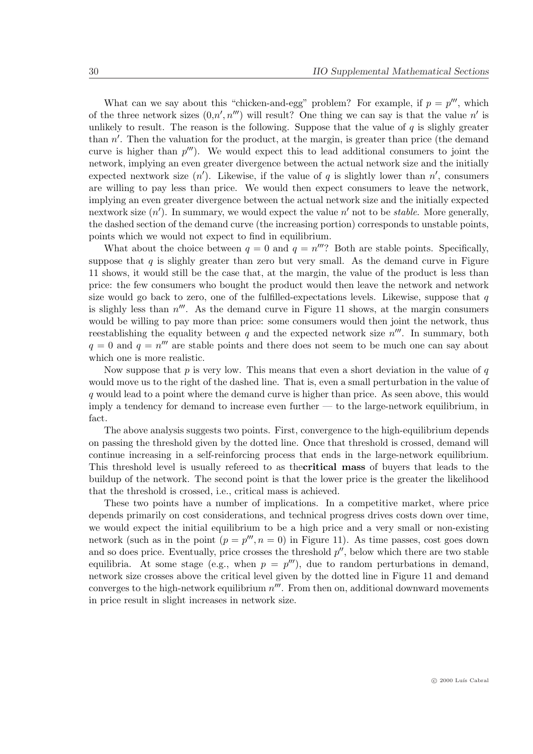What can we say about this "chicken-and-egg" problem? For example, if  $p = p^{\prime\prime\prime}$ , which of the three network sizes  $(0,n',n''')$  will result? One thing we can say is that the value n' is unlikely to result. The reason is the following. Suppose that the value of  $q$  is slighly greater than  $n'$ . Then the valuation for the product, at the margin, is greater than price (the demand curve is higher than  $p^{\prime\prime\prime}$ . We would expect this to lead additional consumers to joint the network, implying an even greater divergence between the actual network size and the initially expected nextwork size  $(n')$ . Likewise, if the value of q is slightly lower than  $n'$ , consumers are willing to pay less than price. We would then expect consumers to leave the network, implying an even greater divergence between the actual network size and the initially expected nextwork size  $(n')$ . In summary, we would expect the value  $n'$  not to be *stable*. More generally, the dashed section of the demand curve (the increasing portion) corresponds to unstable points, points which we would not expect to find in equilibrium.

What about the choice between  $q = 0$  and  $q = n^{\prime\prime\prime}$ ? Both are stable points. Specifically, suppose that  $q$  is slighly greater than zero but very small. As the demand curve in Figure 11 shows, it would still be the case that, at the margin, the value of the product is less than price: the few consumers who bought the product would then leave the network and network size would go back to zero, one of the fulfilled-expectations levels. Likewise, suppose that  $q$ is slighly less than  $n^{\prime\prime\prime}$ . As the demand curve in Figure 11 shows, at the margin consumers would be willing to pay more than price: some consumers would then joint the network, thus reestablishing the equality between q and the expected network size  $n^{\prime\prime\prime}$ . In summary, both  $q = 0$  and  $q = n^{\prime\prime\prime}$  are stable points and there does not seem to be much one can say about which one is more realistic.

Now suppose that  $p$  is very low. This means that even a short deviation in the value of  $q$ would move us to the right of the dashed line. That is, even a small perturbation in the value of q would lead to a point where the demand curve is higher than price. As seen above, this would imply a tendency for demand to increase even further — to the large-network equilibrium, in fact.

The above analysis suggests two points. First, convergence to the high-equilibrium depends on passing the threshold given by the dotted line. Once that threshold is crossed, demand will continue increasing in a self-reinforcing process that ends in the large-network equilibrium. This threshold level is usually refereed to as thecritical mass of buyers that leads to the buildup of the network. The second point is that the lower price is the greater the likelihood that the threshold is crossed, i.e., critical mass is achieved.

These two points have a number of implications. In a competitive market, where price depends primarily on cost considerations, and technical progress drives costs down over time, we would expect the initial equilibrium to be a high price and a very small or non-existing network (such as in the point  $(p = p^{\prime\prime\prime}, n = 0)$  in Figure 11). As time passes, cost goes down and so does price. Eventually, price crosses the threshold  $p''$ , below which there are two stable equilibria. At some stage (e.g., when  $p = p^{\prime\prime\prime}$ ), due to random perturbations in demand, network size crosses above the critical level given by the dotted line in Figure 11 and demand converges to the high-network equilibrium  $n^{\prime\prime\prime}$ . From then on, additional downward movements in price result in slight increases in network size.